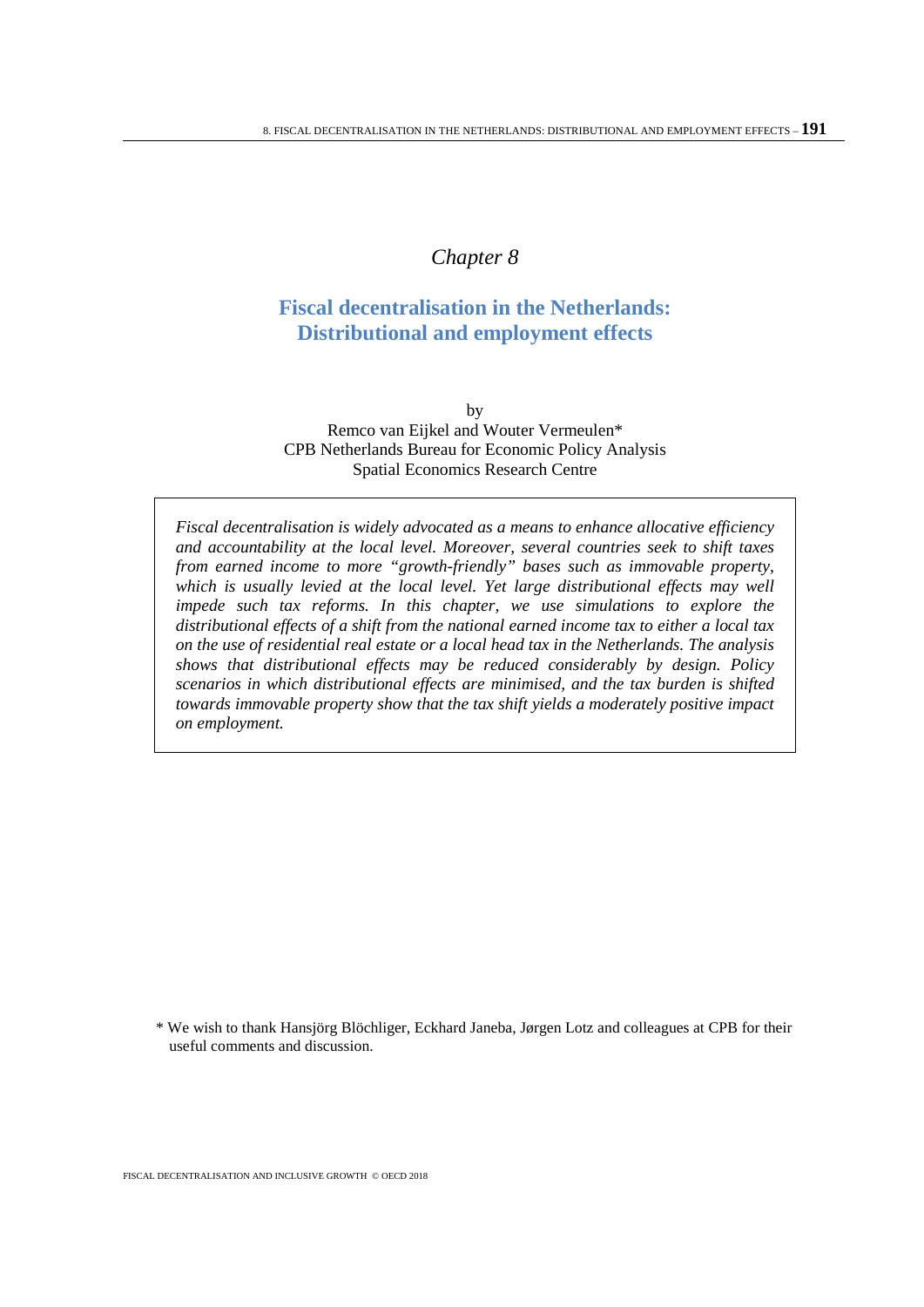## *Chapter 8*

# **Fiscal decentralisation in the Netherlands: Distributional and employment effects**

by Remco van Eijkel and Wouter Vermeulen\* CPB Netherlands Bureau for Economic Policy Analysis Spatial Economics Research Centre

*Fiscal decentralisation is widely advocated as a means to enhance allocative efficiency and accountability at the local level. Moreover, several countries seek to shift taxes from earned income to more "growth-friendly" bases such as immovable property, which is usually levied at the local level. Yet large distributional effects may well impede such tax reforms. In this chapter, we use simulations to explore the distributional effects of a shift from the national earned income tax to either a local tax on the use of residential real estate or a local head tax in the Netherlands. The analysis shows that distributional effects may be reduced considerably by design. Policy scenarios in which distributional effects are minimised, and the tax burden is shifted towards immovable property show that the tax shift yields a moderately positive impact on employment.* 

\* We wish to thank Hansjörg Blöchliger, Eckhard Janeba, Jørgen Lotz and colleagues at CPB for their useful comments and discussion.

FISCAL DECENTRALISATION AND INCLUSIVE GROWTH © OECD 2018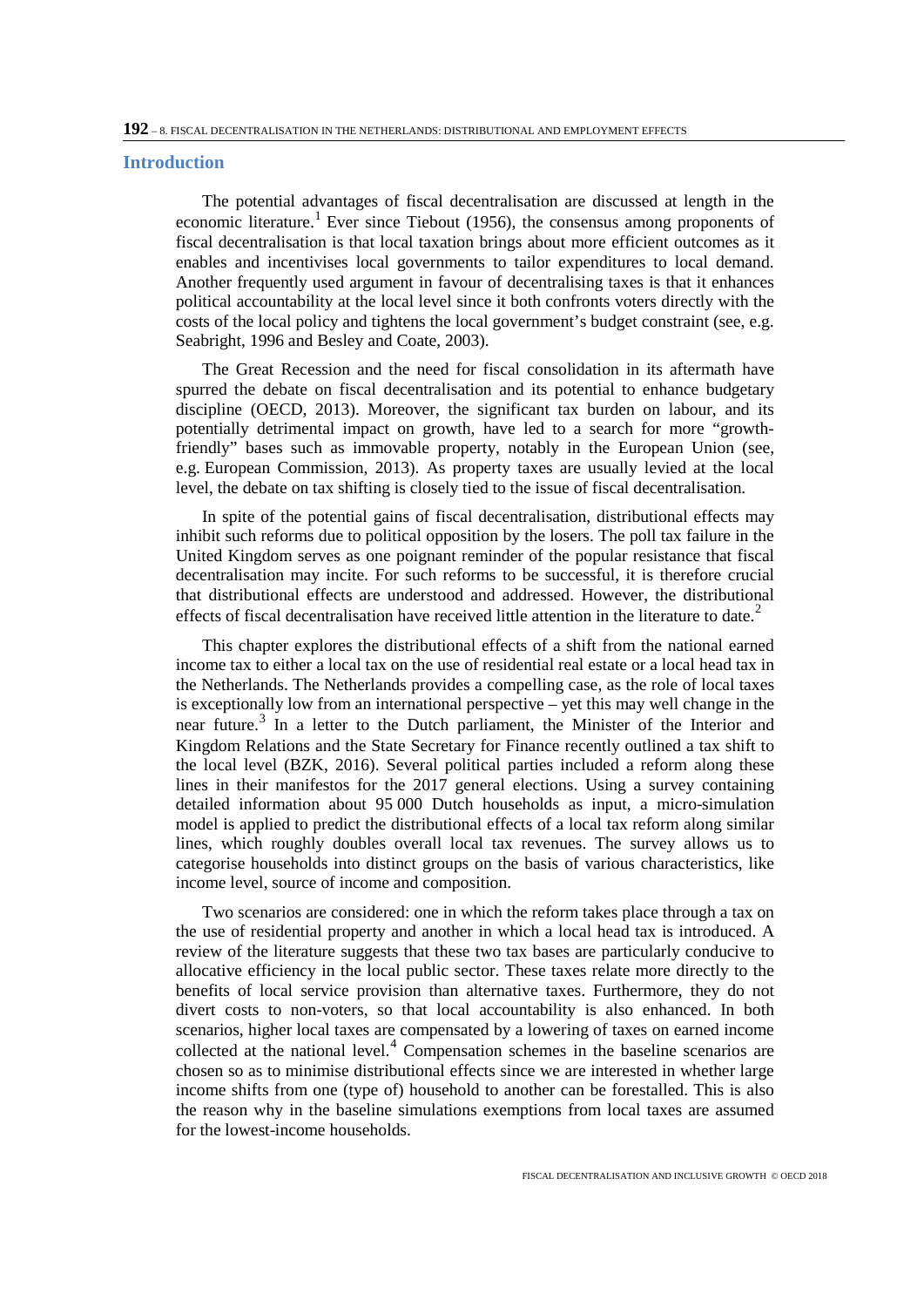#### **Introduction**

The potential advantages of fiscal decentralisation are discussed at length in the economic literature.<sup>1</sup> Ever since Tiebout (1956), the consensus among proponents of fiscal decentralisation is that local taxation brings about more efficient outcomes as it enables and incentivises local governments to tailor expenditures to local demand. Another frequently used argument in favour of decentralising taxes is that it enhances political accountability at the local level since it both confronts voters directly with the costs of the local policy and tightens the local government's budget constraint (see, e.g. Seabright, 1996 and Besley and Coate, 2003).

The Great Recession and the need for fiscal consolidation in its aftermath have spurred the debate on fiscal decentralisation and its potential to enhance budgetary discipline (OECD, 2013). Moreover, the significant tax burden on labour, and its potentially detrimental impact on growth, have led to a search for more "growthfriendly" bases such as immovable property, notably in the European Union (see, e.g. European Commission, 2013). As property taxes are usually levied at the local level, the debate on tax shifting is closely tied to the issue of fiscal decentralisation.

In spite of the potential gains of fiscal decentralisation, distributional effects may inhibit such reforms due to political opposition by the losers. The poll tax failure in the United Kingdom serves as one poignant reminder of the popular resistance that fiscal decentralisation may incite. For such reforms to be successful, it is therefore crucial that distributional effects are understood and addressed. However, the distributional effects of fiscal decentralisation have received little attention in the literature to date.<sup>2</sup>

This chapter explores the distributional effects of a shift from the national earned income tax to either a local tax on the use of residential real estate or a local head tax in the Netherlands. The Netherlands provides a compelling case, as the role of local taxes is exceptionally low from an international perspective – yet this may well change in the near future.<sup>3</sup> In a letter to the Dutch parliament, the Minister of the Interior and Kingdom Relations and the State Secretary for Finance recently outlined a tax shift to the local level (BZK, 2016). Several political parties included a reform along these lines in their manifestos for the 2017 general elections. Using a survey containing detailed information about 95 000 Dutch households as input, a micro-simulation model is applied to predict the distributional effects of a local tax reform along similar lines, which roughly doubles overall local tax revenues. The survey allows us to categorise households into distinct groups on the basis of various characteristics, like income level, source of income and composition.

Two scenarios are considered: one in which the reform takes place through a tax on the use of residential property and another in which a local head tax is introduced. A review of the literature suggests that these two tax bases are particularly conducive to allocative efficiency in the local public sector. These taxes relate more directly to the benefits of local service provision than alternative taxes. Furthermore, they do not divert costs to non-voters, so that local accountability is also enhanced. In both scenarios, higher local taxes are compensated by a lowering of taxes on earned income collected at the national level. $4$  Compensation schemes in the baseline scenarios are chosen so as to minimise distributional effects since we are interested in whether large income shifts from one (type of) household to another can be forestalled. This is also the reason why in the baseline simulations exemptions from local taxes are assumed for the lowest-income households.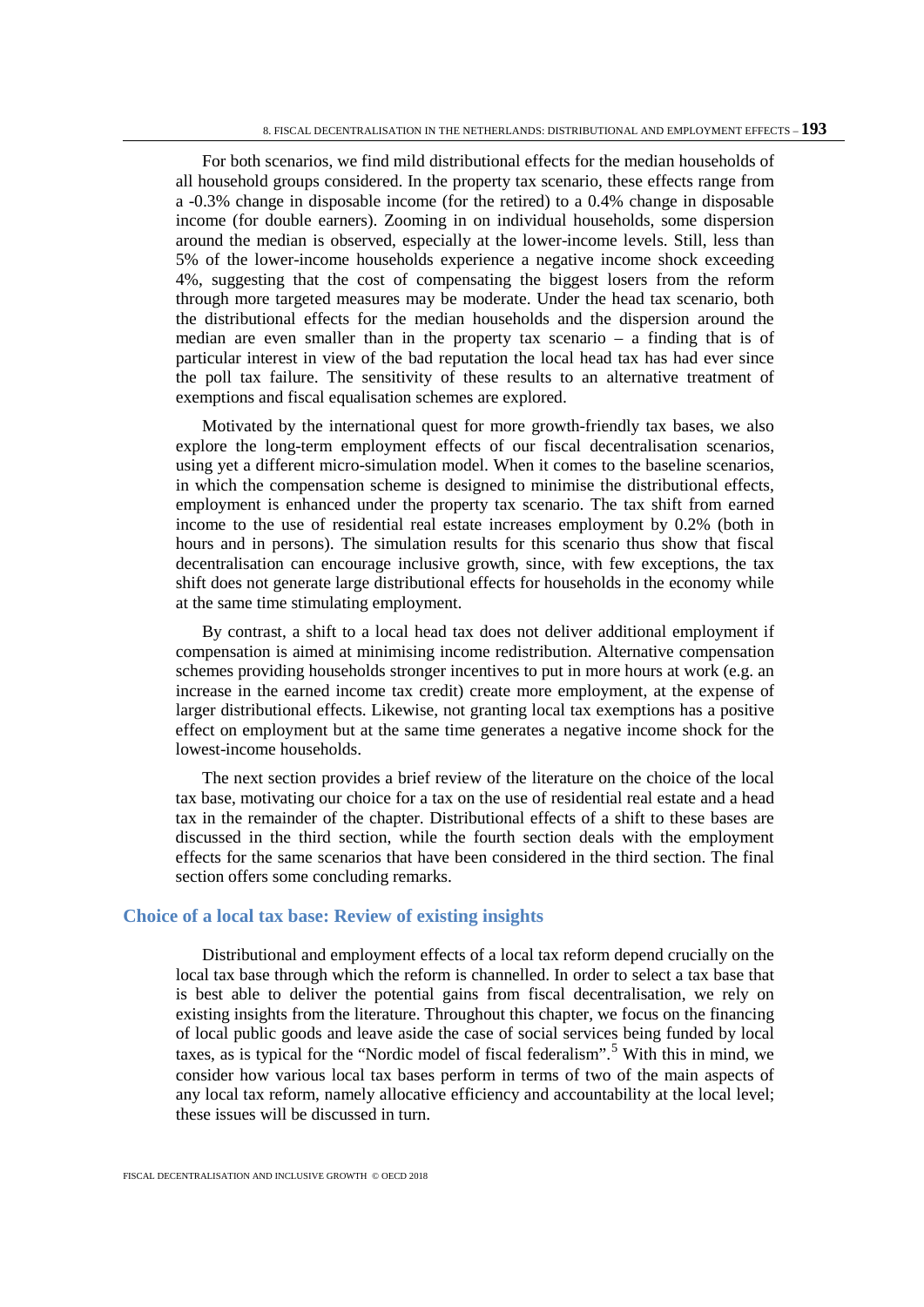For both scenarios, we find mild distributional effects for the median households of all household groups considered. In the property tax scenario, these effects range from a -0.3% change in disposable income (for the retired) to a 0.4% change in disposable income (for double earners). Zooming in on individual households, some dispersion around the median is observed, especially at the lower-income levels. Still, less than 5% of the lower-income households experience a negative income shock exceeding 4%, suggesting that the cost of compensating the biggest losers from the reform through more targeted measures may be moderate. Under the head tax scenario, both the distributional effects for the median households and the dispersion around the median are even smaller than in the property tax scenario – a finding that is of particular interest in view of the bad reputation the local head tax has had ever since the poll tax failure. The sensitivity of these results to an alternative treatment of exemptions and fiscal equalisation schemes are explored.

Motivated by the international quest for more growth-friendly tax bases, we also explore the long-term employment effects of our fiscal decentralisation scenarios, using yet a different micro-simulation model. When it comes to the baseline scenarios, in which the compensation scheme is designed to minimise the distributional effects, employment is enhanced under the property tax scenario. The tax shift from earned income to the use of residential real estate increases employment by 0.2% (both in hours and in persons). The simulation results for this scenario thus show that fiscal decentralisation can encourage inclusive growth, since, with few exceptions, the tax shift does not generate large distributional effects for households in the economy while at the same time stimulating employment.

By contrast, a shift to a local head tax does not deliver additional employment if compensation is aimed at minimising income redistribution. Alternative compensation schemes providing households stronger incentives to put in more hours at work (e.g. an increase in the earned income tax credit) create more employment, at the expense of larger distributional effects. Likewise, not granting local tax exemptions has a positive effect on employment but at the same time generates a negative income shock for the lowest-income households.

The next section provides a brief review of the literature on the choice of the local tax base, motivating our choice for a tax on the use of residential real estate and a head tax in the remainder of the chapter. Distributional effects of a shift to these bases are discussed in the third section, while the fourth section deals with the employment effects for the same scenarios that have been considered in the third section. The final section offers some concluding remarks.

#### **Choice of a local tax base: Review of existing insights**

Distributional and employment effects of a local tax reform depend crucially on the local tax base through which the reform is channelled. In order to select a tax base that is best able to deliver the potential gains from fiscal decentralisation, we rely on existing insights from the literature. Throughout this chapter, we focus on the financing of local public goods and leave aside the case of social services being funded by local taxes, as is typical for the "Nordic model of fiscal federalism".<sup>5</sup> With this in mind, we consider how various local tax bases perform in terms of two of the main aspects of any local tax reform, namely allocative efficiency and accountability at the local level; these issues will be discussed in turn.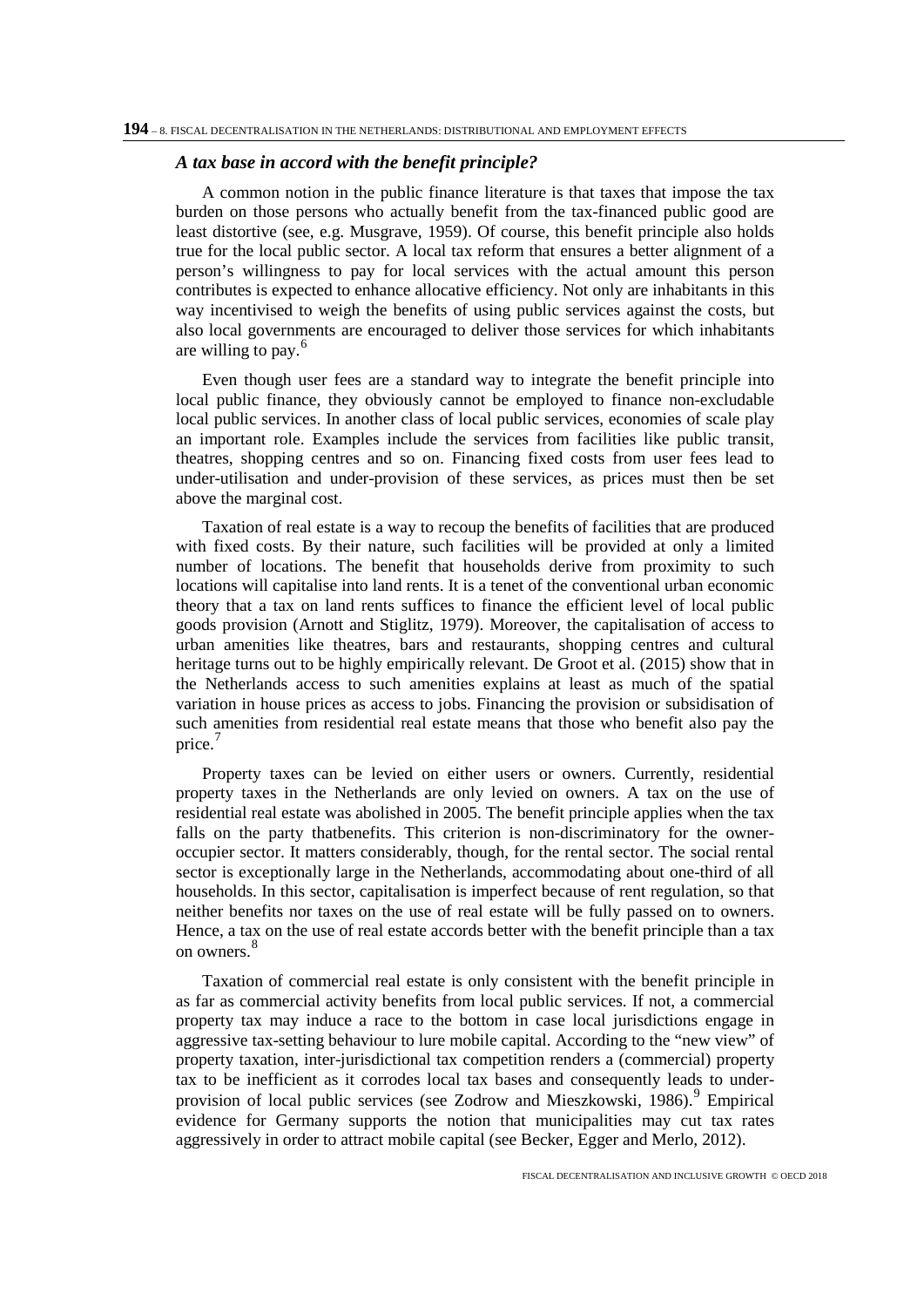#### *A tax base in accord with the benefit principle?*

A common notion in the public finance literature is that taxes that impose the tax burden on those persons who actually benefit from the tax-financed public good are least distortive (see, e.g. Musgrave, 1959). Of course, this benefit principle also holds true for the local public sector. A local tax reform that ensures a better alignment of a person's willingness to pay for local services with the actual amount this person contributes is expected to enhance allocative efficiency. Not only are inhabitants in this way incentivised to weigh the benefits of using public services against the costs, but also local governments are encouraged to deliver those services for which inhabitants are willing to pay. $<sup>6</sup>$ </sup>

Even though user fees are a standard way to integrate the benefit principle into local public finance, they obviously cannot be employed to finance non-excludable local public services. In another class of local public services, economies of scale play an important role. Examples include the services from facilities like public transit, theatres, shopping centres and so on. Financing fixed costs from user fees lead to under-utilisation and under-provision of these services, as prices must then be set above the marginal cost.

Taxation of real estate is a way to recoup the benefits of facilities that are produced with fixed costs. By their nature, such facilities will be provided at only a limited number of locations. The benefit that households derive from proximity to such locations will capitalise into land rents. It is a tenet of the conventional urban economic theory that a tax on land rents suffices to finance the efficient level of local public goods provision (Arnott and Stiglitz, 1979). Moreover, the capitalisation of access to urban amenities like theatres, bars and restaurants, shopping centres and cultural heritage turns out to be highly empirically relevant. De Groot et al. (2015) show that in the Netherlands access to such amenities explains at least as much of the spatial variation in house prices as access to jobs. Financing the provision or subsidisation of such amenities from residential real estate means that those who benefit also pay the price.<sup>7</sup>

Property taxes can be levied on either users or owners. Currently, residential property taxes in the Netherlands are only levied on owners. A tax on the use of residential real estate was abolished in 2005. The benefit principle applies when the tax falls on the party thatbenefits. This criterion is non-discriminatory for the owneroccupier sector. It matters considerably, though, for the rental sector. The social rental sector is exceptionally large in the Netherlands, accommodating about one-third of all households. In this sector, capitalisation is imperfect because of rent regulation, so that neither benefits nor taxes on the use of real estate will be fully passed on to owners. Hence, a tax on the use of real estate accords better with the benefit principle than a tax on owners. 8

Taxation of commercial real estate is only consistent with the benefit principle in as far as commercial activity benefits from local public services. If not, a commercial property tax may induce a race to the bottom in case local jurisdictions engage in aggressive tax-setting behaviour to lure mobile capital. According to the "new view" of property taxation, inter-jurisdictional tax competition renders a (commercial) property tax to be inefficient as it corrodes local tax bases and consequently leads to underprovision of local public services (see Zodrow and Mieszkowski, 1986).  $9^9$  Empirical evidence for Germany supports the notion that municipalities may cut tax rates aggressively in order to attract mobile capital (see Becker, Egger and Merlo, 2012).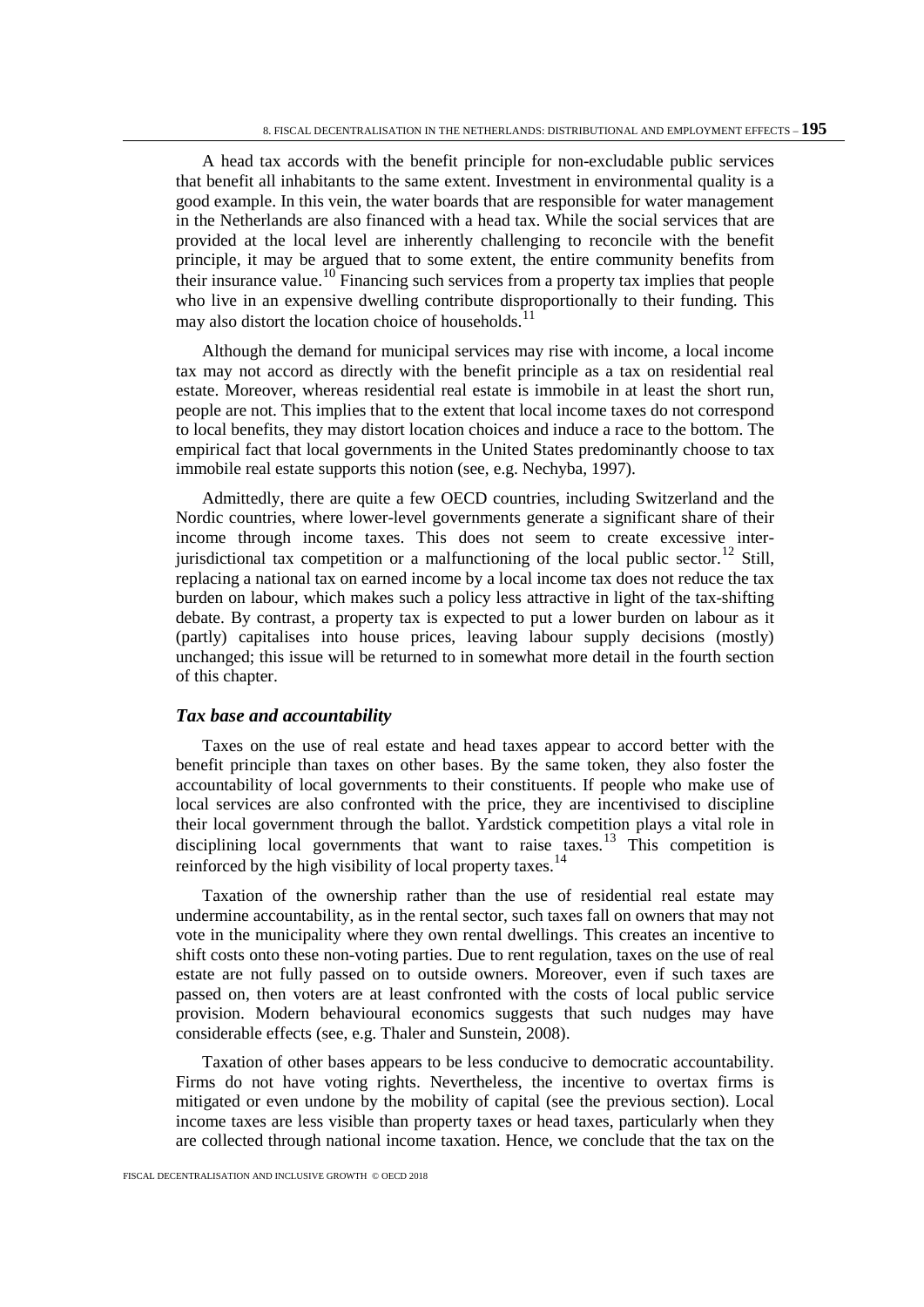A head tax accords with the benefit principle for non-excludable public services that benefit all inhabitants to the same extent. Investment in environmental quality is a good example. In this vein, the water boards that are responsible for water management in the Netherlands are also financed with a head tax. While the social services that are provided at the local level are inherently challenging to reconcile with the benefit principle, it may be argued that to some extent, the entire community benefits from their insurance value.<sup>10</sup> Financing such services from a property tax implies that people who live in an expensive dwelling contribute disproportionally to their funding. This may also distort the location choice of households. $11$ 

Although the demand for municipal services may rise with income, a local income tax may not accord as directly with the benefit principle as a tax on residential real estate. Moreover, whereas residential real estate is immobile in at least the short run, people are not. This implies that to the extent that local income taxes do not correspond to local benefits, they may distort location choices and induce a race to the bottom. The empirical fact that local governments in the United States predominantly choose to tax immobile real estate supports this notion (see, e.g. Nechyba, 1997).

Admittedly, there are quite a few OECD countries, including Switzerland and the Nordic countries, where lower-level governments generate a significant share of their income through income taxes. This does not seem to create excessive interjurisdictional tax competition or a malfunctioning of the local public sector.<sup>12</sup> Still, replacing a national tax on earned income by a local income tax does not reduce the tax burden on labour, which makes such a policy less attractive in light of the tax-shifting debate. By contrast, a property tax is expected to put a lower burden on labour as it (partly) capitalises into house prices, leaving labour supply decisions (mostly) unchanged; this issue will be returned to in somewhat more detail in the fourth section of this chapter.

### *Tax base and accountability*

Taxes on the use of real estate and head taxes appear to accord better with the benefit principle than taxes on other bases. By the same token, they also foster the accountability of local governments to their constituents. If people who make use of local services are also confronted with the price, they are incentivised to discipline their local government through the ballot. Yardstick competition plays a vital role in disciplining local governments that want to raise taxes.<sup>13</sup> This competition is reinforced by the high visibility of local property taxes.<sup>14</sup>

Taxation of the ownership rather than the use of residential real estate may undermine accountability, as in the rental sector, such taxes fall on owners that may not vote in the municipality where they own rental dwellings. This creates an incentive to shift costs onto these non-voting parties. Due to rent regulation, taxes on the use of real estate are not fully passed on to outside owners. Moreover, even if such taxes are passed on, then voters are at least confronted with the costs of local public service provision. Modern behavioural economics suggests that such nudges may have considerable effects (see, e.g. Thaler and Sunstein, 2008).

Taxation of other bases appears to be less conducive to democratic accountability. Firms do not have voting rights. Nevertheless, the incentive to overtax firms is mitigated or even undone by the mobility of capital (see the previous section). Local income taxes are less visible than property taxes or head taxes, particularly when they are collected through national income taxation. Hence, we conclude that the tax on the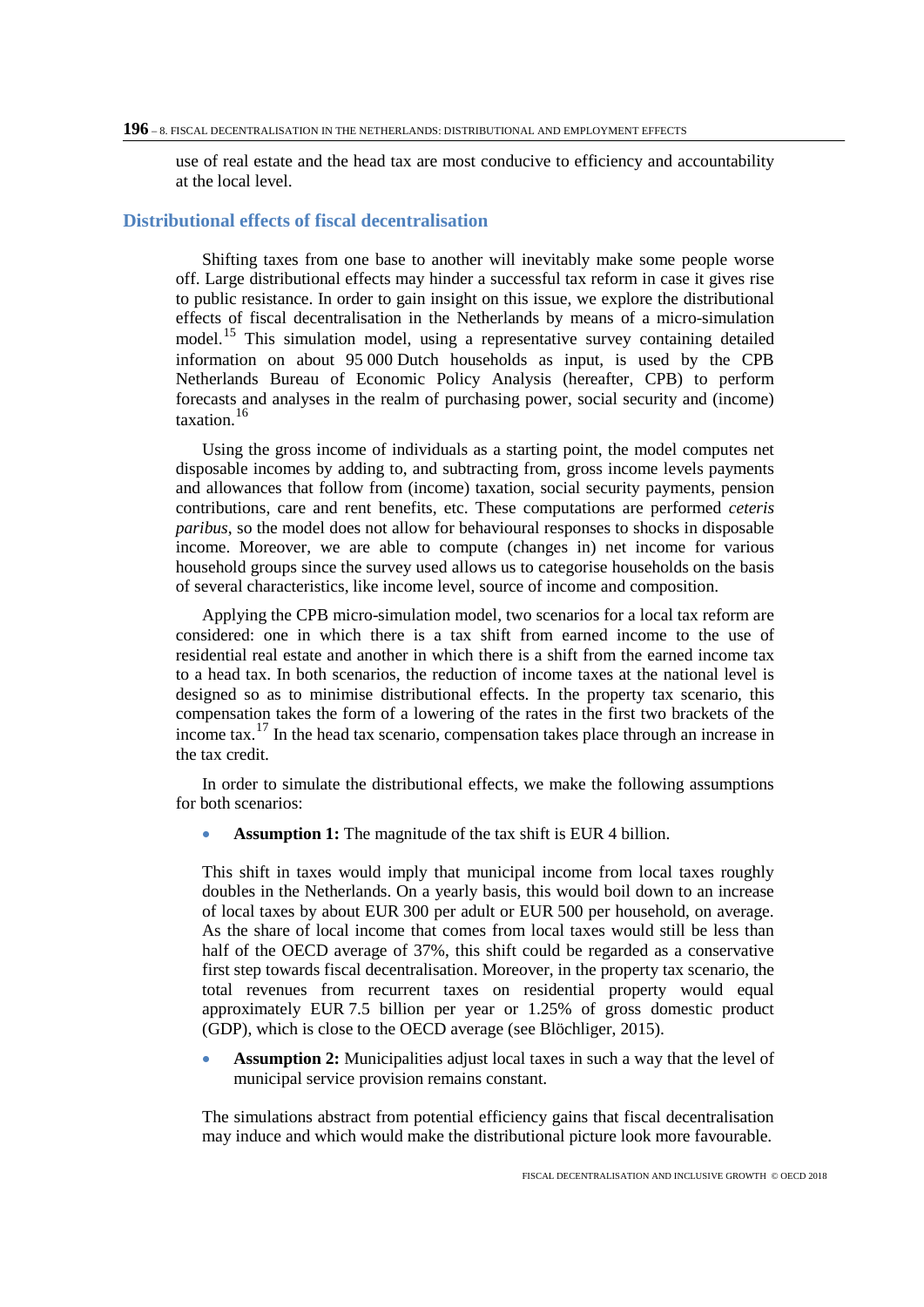use of real estate and the head tax are most conducive to efficiency and accountability at the local level.

### **Distributional effects of fiscal decentralisation**

Shifting taxes from one base to another will inevitably make some people worse off. Large distributional effects may hinder a successful tax reform in case it gives rise to public resistance. In order to gain insight on this issue, we explore the distributional effects of fiscal decentralisation in the Netherlands by means of a micro-simulation model.<sup>15</sup> This simulation model, using a representative survey containing detailed information on about 95 000 Dutch households as input, is used by the CPB Netherlands Bureau of Economic Policy Analysis (hereafter, CPB) to perform forecasts and analyses in the realm of purchasing power, social security and (income) taxation $16$ 

Using the gross income of individuals as a starting point, the model computes net disposable incomes by adding to, and subtracting from, gross income levels payments and allowances that follow from (income) taxation, social security payments, pension contributions, care and rent benefits, etc. These computations are performed *ceteris paribus*, so the model does not allow for behavioural responses to shocks in disposable income. Moreover, we are able to compute (changes in) net income for various household groups since the survey used allows us to categorise households on the basis of several characteristics, like income level, source of income and composition.

Applying the CPB micro-simulation model, two scenarios for a local tax reform are considered: one in which there is a tax shift from earned income to the use of residential real estate and another in which there is a shift from the earned income tax to a head tax. In both scenarios, the reduction of income taxes at the national level is designed so as to minimise distributional effects. In the property tax scenario, this compensation takes the form of a lowering of the rates in the first two brackets of the income tax.<sup>17</sup> In the head tax scenario, compensation takes place through an increase in the tax credit.

In order to simulate the distributional effects, we make the following assumptions for both scenarios:

• **Assumption 1:** The magnitude of the tax shift is EUR 4 billion.

This shift in taxes would imply that municipal income from local taxes roughly doubles in the Netherlands. On a yearly basis, this would boil down to an increase of local taxes by about EUR 300 per adult or EUR 500 per household, on average. As the share of local income that comes from local taxes would still be less than half of the OECD average of 37%, this shift could be regarded as a conservative first step towards fiscal decentralisation. Moreover, in the property tax scenario, the total revenues from recurrent taxes on residential property would equal approximately EUR 7.5 billion per year or 1.25% of gross domestic product (GDP), which is close to the OECD average (see Blöchliger, 2015).

Assumption 2: Municipalities adjust local taxes in such a way that the level of municipal service provision remains constant.

The simulations abstract from potential efficiency gains that fiscal decentralisation may induce and which would make the distributional picture look more favourable.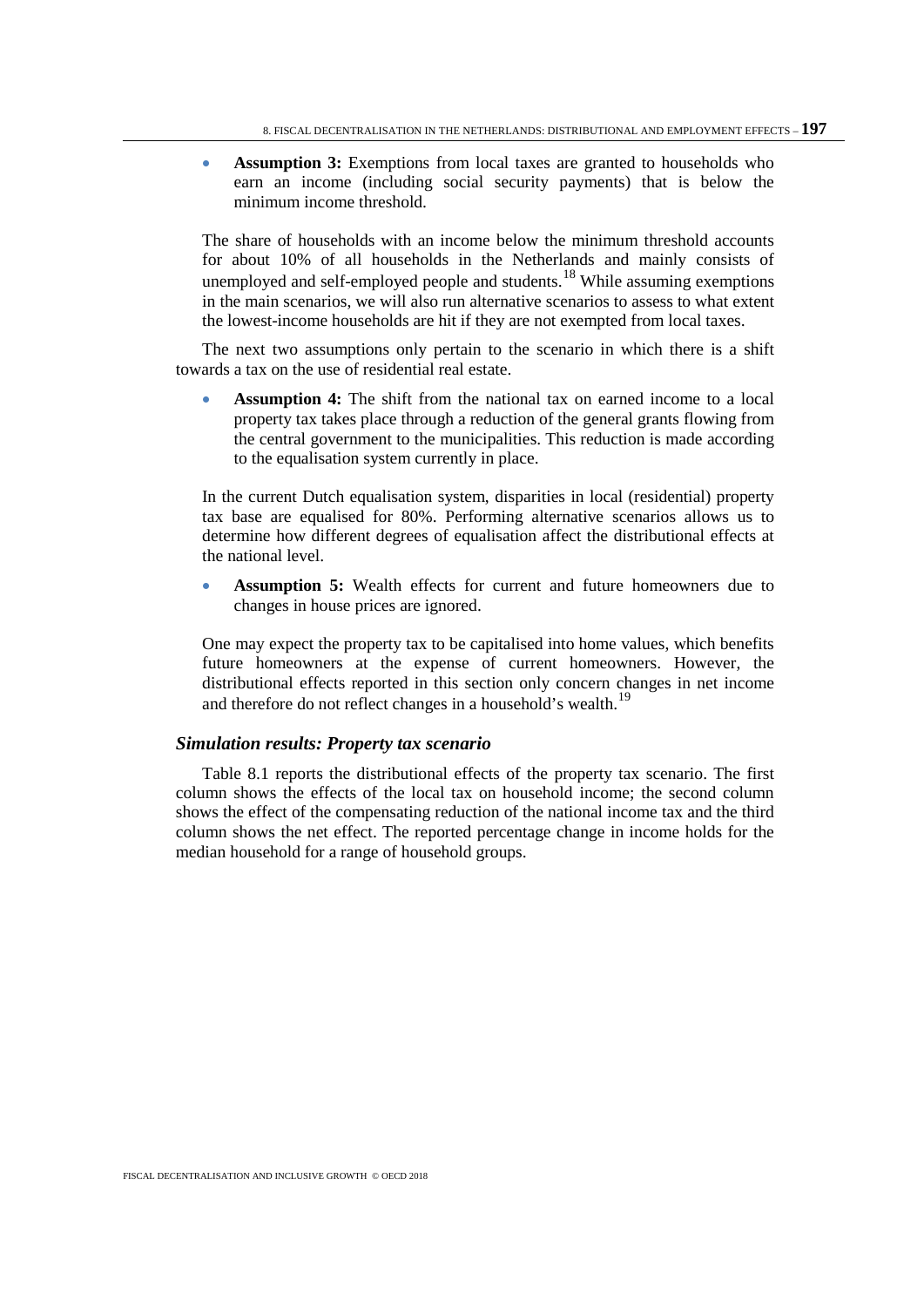• **Assumption 3:** Exemptions from local taxes are granted to households who earn an income (including social security payments) that is below the minimum income threshold

The share of households with an income below the minimum threshold accounts for about 10% of all households in the Netherlands and mainly consists of unemployed and self-employed people and students.<sup>18</sup> While assuming exemptions in the main scenarios, we will also run alternative scenarios to assess to what extent the lowest-income households are hit if they are not exempted from local taxes.

The next two assumptions only pertain to the scenario in which there is a shift towards a tax on the use of residential real estate.

• **Assumption 4:** The shift from the national tax on earned income to a local property tax takes place through a reduction of the general grants flowing from the central government to the municipalities. This reduction is made according to the equalisation system currently in place.

In the current Dutch equalisation system, disparities in local (residential) property tax base are equalised for 80%. Performing alternative scenarios allows us to determine how different degrees of equalisation affect the distributional effects at the national level.

• **Assumption 5:** Wealth effects for current and future homeowners due to changes in house prices are ignored.

One may expect the property tax to be capitalised into home values, which benefits future homeowners at the expense of current homeowners. However, the distributional effects reported in this section only concern changes in net income and therefore do not reflect changes in a household's wealth.<sup>19</sup>

#### *Simulation results: Property tax scenario*

Table 8.1 reports the distributional effects of the property tax scenario. The first column shows the effects of the local tax on household income; the second column shows the effect of the compensating reduction of the national income tax and the third column shows the net effect. The reported percentage change in income holds for the median household for a range of household groups.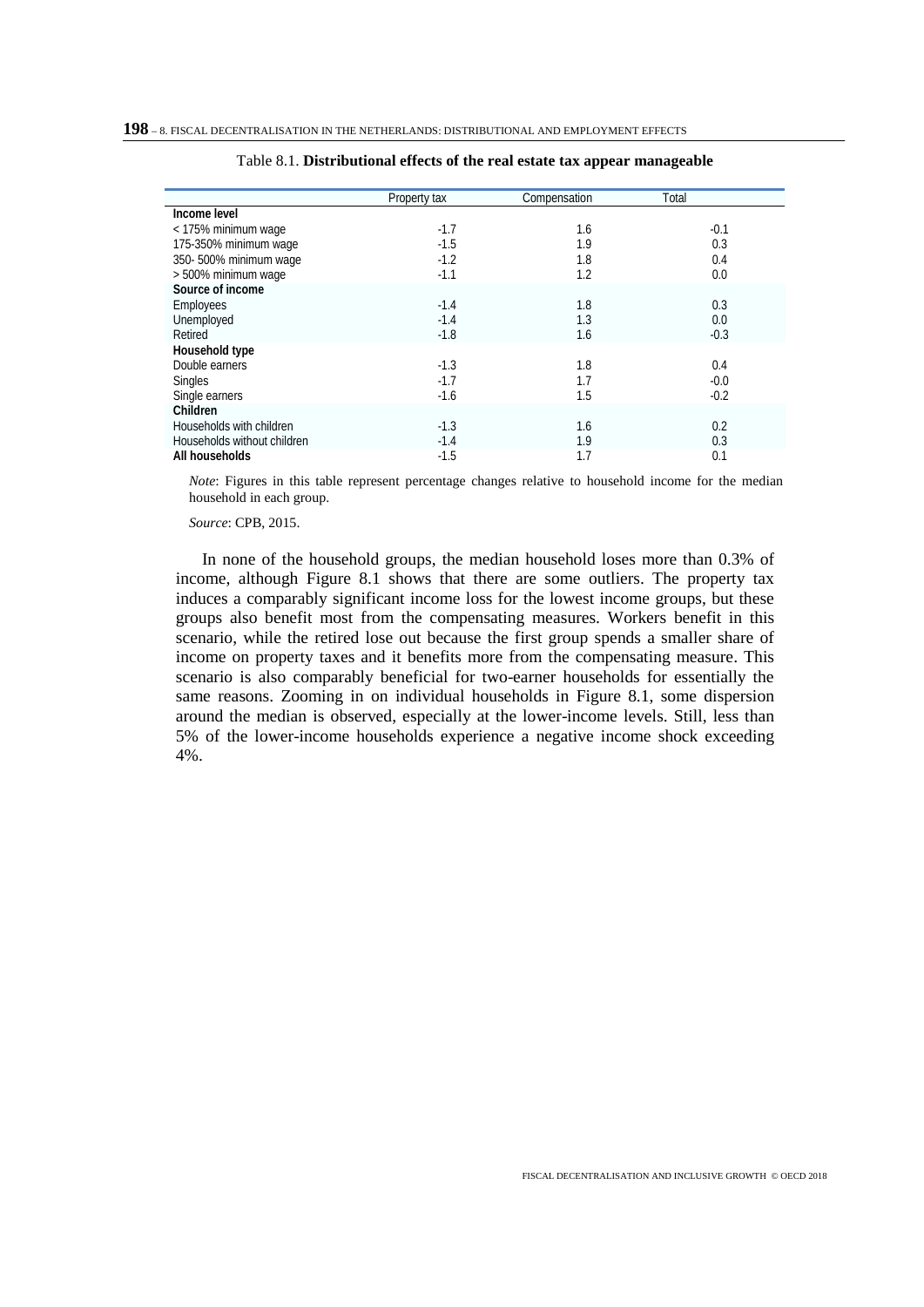|                             | Property tax | Compensation | Total  |
|-----------------------------|--------------|--------------|--------|
| Income level                |              |              |        |
| < 175% minimum wage         | $-1.7$       | 1.6          | $-0.1$ |
| 175-350% minimum wage       | $-1.5$       | 1.9          | 0.3    |
| 350-500% minimum wage       | $-1.2$       | 1.8          | 0.4    |
| > 500% minimum wage         | $-1.1$       | 1.2          | 0.0    |
| Source of income            |              |              |        |
| Employees                   | $-1.4$       | 1.8          | 0.3    |
| Unemployed                  | $-1.4$       | 1.3          | 0.0    |
| Retired                     | $-1.8$       | 1.6          | $-0.3$ |
| Household type              |              |              |        |
| Double earners              | $-1.3$       | 1.8          | 0.4    |
| Singles                     | $-1.7$       | 1.7          | $-0.0$ |
| Single earners              | $-1.6$       | 1.5          | $-0.2$ |
| Children                    |              |              |        |
| Households with children    | $-1.3$       | 1.6          | 0.2    |
| Households without children | $-1.4$       | 1.9          | 0.3    |
| All households              | $-1.5$       | 1.7          | 0.1    |

#### Table 8.1. **Distributional effects of the real estate tax appear manageable**

*Note*: Figures in this table represent percentage changes relative to household income for the median household in each group.

*Source*: CPB, 2015.

In none of the household groups, the median household loses more than 0.3% of income, although Figure 8.1 shows that there are some outliers. The property tax induces a comparably significant income loss for the lowest income groups, but these groups also benefit most from the compensating measures. Workers benefit in this scenario, while the retired lose out because the first group spends a smaller share of income on property taxes and it benefits more from the compensating measure. This scenario is also comparably beneficial for two-earner households for essentially the same reasons. Zooming in on individual households in Figure 8.1, some dispersion around the median is observed, especially at the lower-income levels. Still, less than 5% of the lower-income households experience a negative income shock exceeding 4%.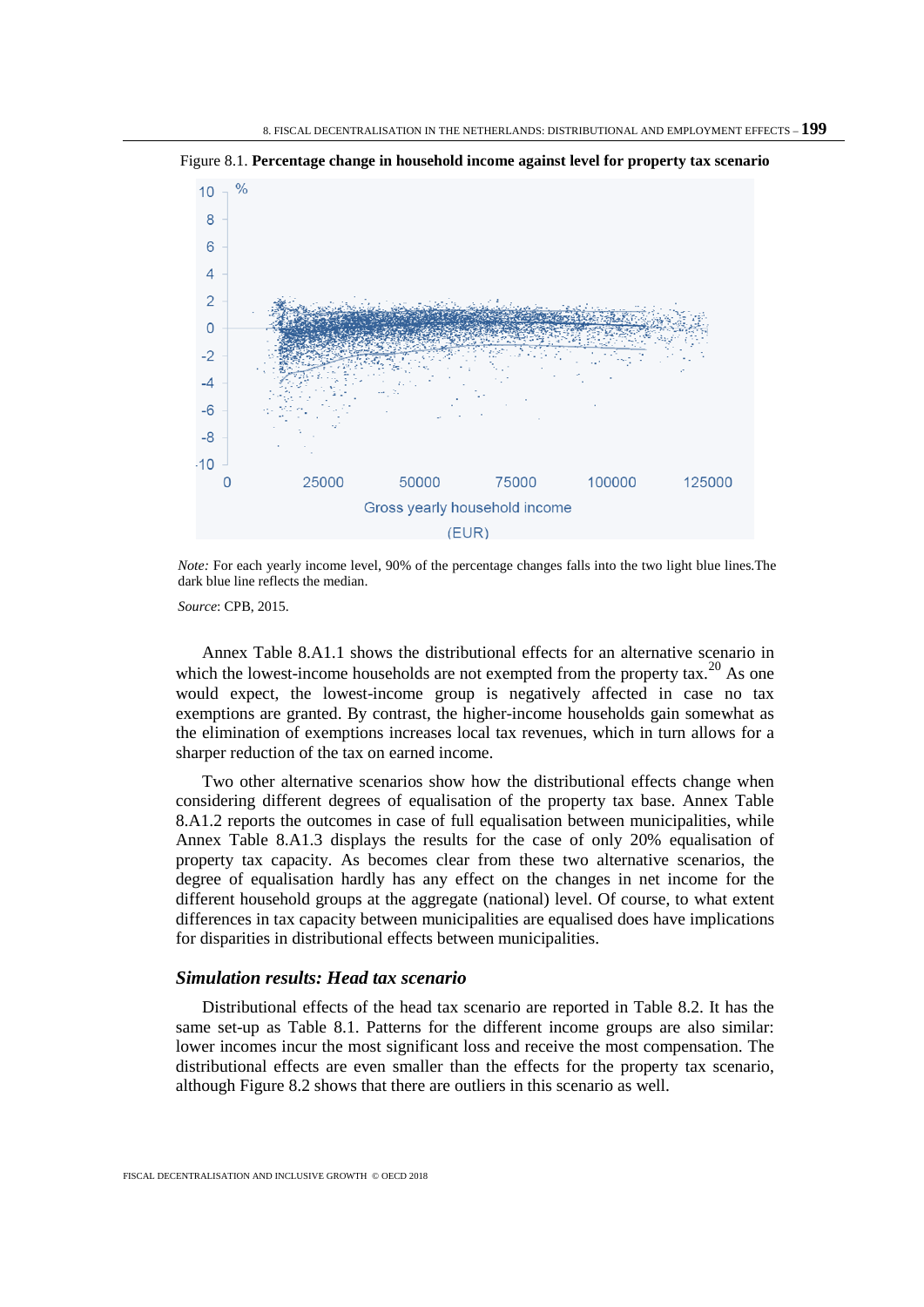

Figure 8.1. **Percentage change in household income against level for property tax scenario**

*Note:* For each yearly income level, 90% of the percentage changes falls into the two light blue lines.The dark blue line reflects the median.

*Source*: CPB, 2015.

Annex Table 8.A1.1 shows the distributional effects for an alternative scenario in which the lowest-income households are not exempted from the property tax.<sup>20</sup> As one would expect, the lowest-income group is negatively affected in case no tax exemptions are granted. By contrast, the higher-income households gain somewhat as the elimination of exemptions increases local tax revenues, which in turn allows for a sharper reduction of the tax on earned income.

Two other alternative scenarios show how the distributional effects change when considering different degrees of equalisation of the property tax base. Annex Table 8.A1.2 reports the outcomes in case of full equalisation between municipalities, while Annex Table 8.A1.3 displays the results for the case of only 20% equalisation of property tax capacity. As becomes clear from these two alternative scenarios, the degree of equalisation hardly has any effect on the changes in net income for the different household groups at the aggregate (national) level. Of course, to what extent differences in tax capacity between municipalities are equalised does have implications for disparities in distributional effects between municipalities.

#### *Simulation results: Head tax scenario*

Distributional effects of the head tax scenario are reported in Table 8.2. It has the same set-up as Table 8.1. Patterns for the different income groups are also similar: lower incomes incur the most significant loss and receive the most compensation. The distributional effects are even smaller than the effects for the property tax scenario, although Figure 8.2 shows that there are outliers in this scenario as well.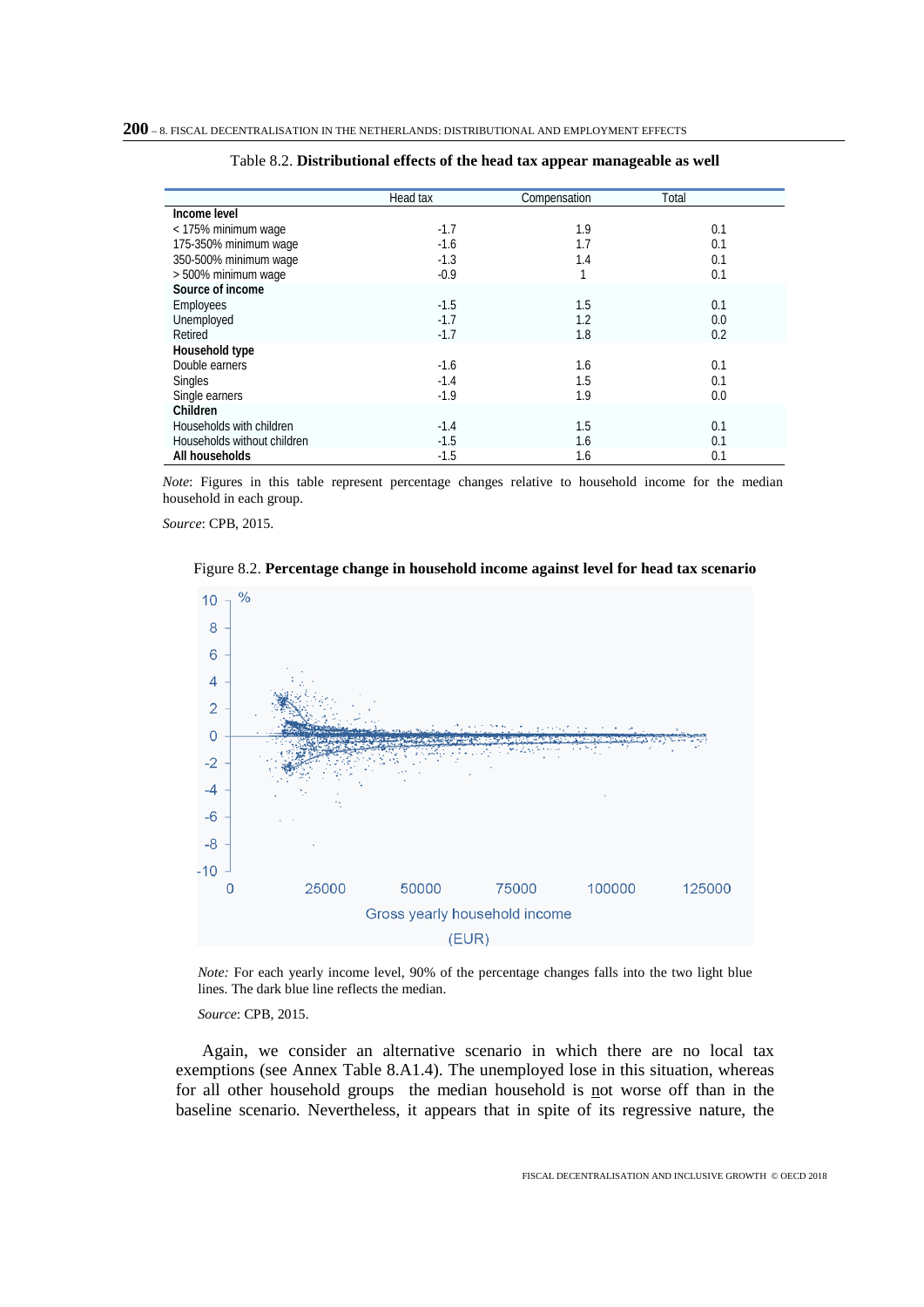|                             | Head tax | Compensation | Total |
|-----------------------------|----------|--------------|-------|
| Income level                |          |              |       |
| < 175% minimum wage         | $-1.7$   | 1.9          | 0.1   |
| 175-350% minimum wage       | $-1.6$   | 1.7          | 0.1   |
| 350-500% minimum wage       | $-1.3$   | 1.4          | 0.1   |
| > 500% minimum wage         | $-0.9$   | 1            | 0.1   |
| Source of income            |          |              |       |
| Employees                   | $-1.5$   | 1.5          | 0.1   |
| Unemployed                  | $-1.7$   | 1.2          | 0.0   |
| Retired                     | $-1.7$   | 1.8          | 0.2   |
| Household type              |          |              |       |
| Double earners              | $-1.6$   | 1.6          | 0.1   |
| <b>Singles</b>              | $-1.4$   | 1.5          | 0.1   |
| Single earners              | $-1.9$   | 1.9          | 0.0   |
| Children                    |          |              |       |
| Households with children    | $-1.4$   | 1.5          | 0.1   |
| Households without children | $-1.5$   | 1.6          | 0.1   |
| All households              | $-1.5$   | 1.6          | 0.1   |

| Table 8.2. Distributional effects of the head tax appear manageable as well |  |  |
|-----------------------------------------------------------------------------|--|--|
|                                                                             |  |  |

*Note*: Figures in this table represent percentage changes relative to household income for the median household in each group.

*Source*: CPB, 2015.





*Note:* For each yearly income level, 90% of the percentage changes falls into the two light blue lines. The dark blue line reflects the median.

*Source*: CPB, 2015.

Again, we consider an alternative scenario in which there are no local tax exemptions (see Annex Table 8.A1.4). The unemployed lose in this situation, whereas for all other household groups the median household is not worse off than in the baseline scenario. Nevertheless, it appears that in spite of its regressive nature, the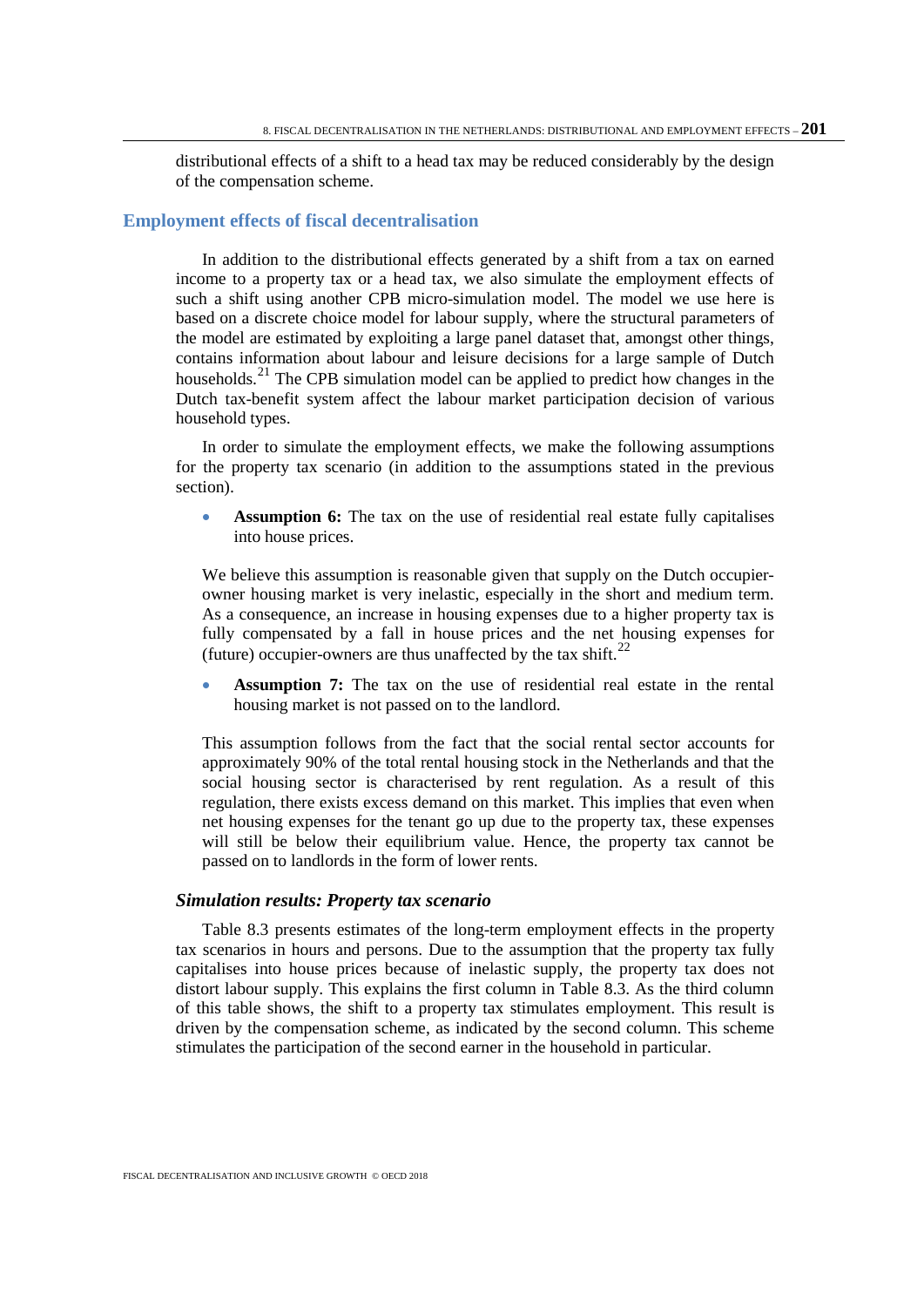distributional effects of a shift to a head tax may be reduced considerably by the design of the compensation scheme.

#### **Employment effects of fiscal decentralisation**

In addition to the distributional effects generated by a shift from a tax on earned income to a property tax or a head tax, we also simulate the employment effects of such a shift using another CPB micro-simulation model. The model we use here is based on a discrete choice model for labour supply, where the structural parameters of the model are estimated by exploiting a large panel dataset that, amongst other things, contains information about labour and leisure decisions for a large sample of Dutch households.<sup>21</sup> The CPB simulation model can be applied to predict how changes in the Dutch tax-benefit system affect the labour market participation decision of various household types.

In order to simulate the employment effects, we make the following assumptions for the property tax scenario (in addition to the assumptions stated in the previous section).

• **Assumption 6:** The tax on the use of residential real estate fully capitalises into house prices.

We believe this assumption is reasonable given that supply on the Dutch occupierowner housing market is very inelastic, especially in the short and medium term. As a consequence, an increase in housing expenses due to a higher property tax is fully compensated by a fall in house prices and the net housing expenses for (future) occupier-owners are thus unaffected by the tax shift.<sup>22</sup>

• **Assumption 7:** The tax on the use of residential real estate in the rental housing market is not passed on to the landlord.

This assumption follows from the fact that the social rental sector accounts for approximately 90% of the total rental housing stock in the Netherlands and that the social housing sector is characterised by rent regulation. As a result of this regulation, there exists excess demand on this market. This implies that even when net housing expenses for the tenant go up due to the property tax, these expenses will still be below their equilibrium value. Hence, the property tax cannot be passed on to landlords in the form of lower rents.

#### *Simulation results: Property tax scenario*

Table 8.3 presents estimates of the long-term employment effects in the property tax scenarios in hours and persons. Due to the assumption that the property tax fully capitalises into house prices because of inelastic supply, the property tax does not distort labour supply. This explains the first column in Table 8.3. As the third column of this table shows, the shift to a property tax stimulates employment. This result is driven by the compensation scheme, as indicated by the second column. This scheme stimulates the participation of the second earner in the household in particular.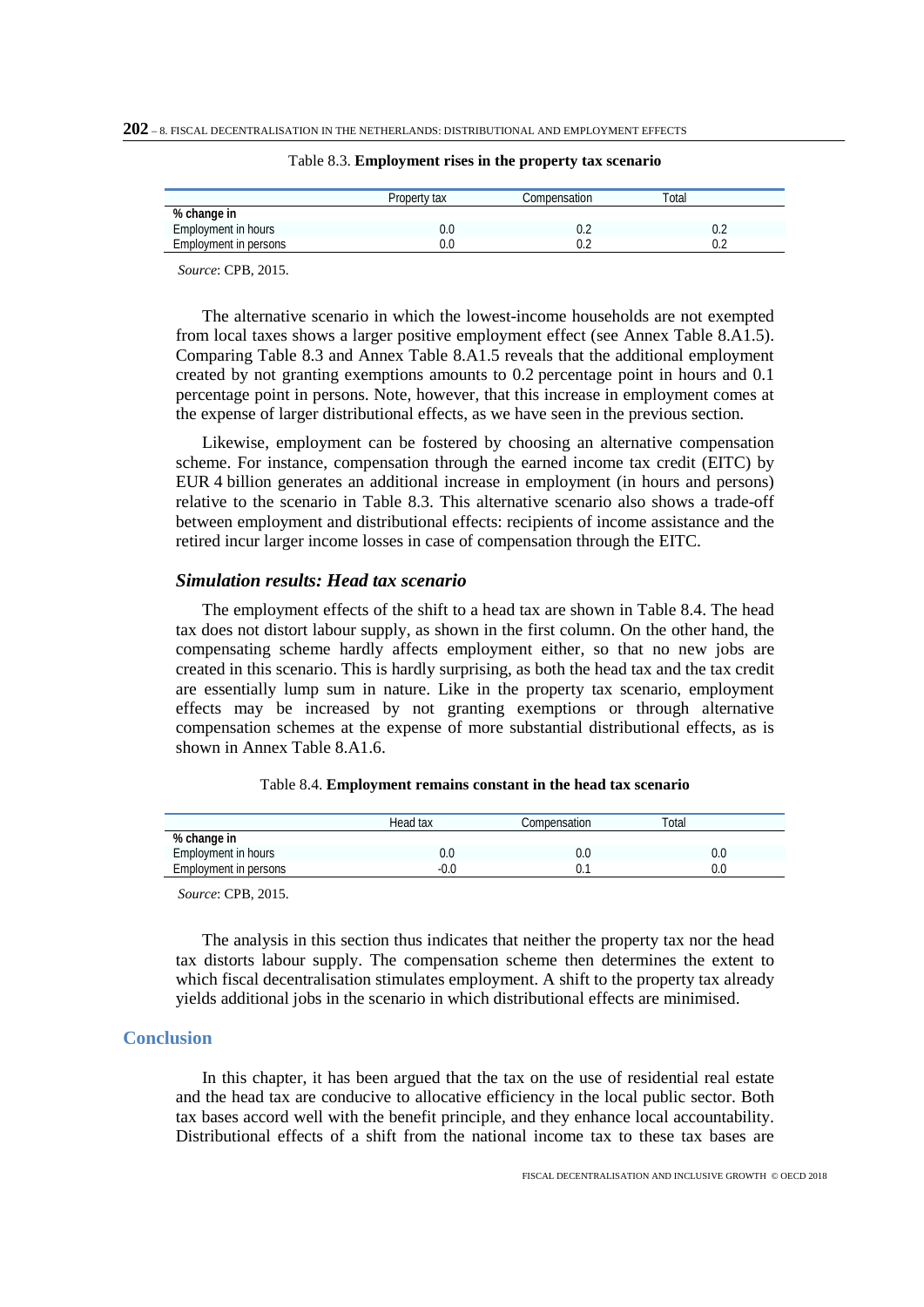|                       | Property tax | Compensation | Total |
|-----------------------|--------------|--------------|-------|
| % change in           |              |              |       |
| Employment in hours   | 0.0          |              |       |
| Employment in persons | 0.0          |              |       |

#### Table 8.3. **Employment rises in the property tax scenario**

*Source*: CPB, 2015.

The alternative scenario in which the lowest-income households are not exempted from local taxes shows a larger positive employment effect (see Annex Table 8.A1.5). Comparing Table 8.3 and Annex Table 8.A1.5 reveals that the additional employment created by not granting exemptions amounts to 0.2 percentage point in hours and 0.1 percentage point in persons. Note, however, that this increase in employment comes at the expense of larger distributional effects, as we have seen in the previous section.

Likewise, employment can be fostered by choosing an alternative compensation scheme. For instance, compensation through the earned income tax credit (EITC) by EUR 4 billion generates an additional increase in employment (in hours and persons) relative to the scenario in Table 8.3. This alternative scenario also shows a trade-off between employment and distributional effects: recipients of income assistance and the retired incur larger income losses in case of compensation through the EITC.

#### *Simulation results: Head tax scenario*

The employment effects of the shift to a head tax are shown in Table 8.4. The head tax does not distort labour supply, as shown in the first column. On the other hand, the compensating scheme hardly affects employment either, so that no new jobs are created in this scenario. This is hardly surprising, as both the head tax and the tax credit are essentially lump sum in nature. Like in the property tax scenario, employment effects may be increased by not granting exemptions or through alternative compensation schemes at the expense of more substantial distributional effects, as is shown in Annex Table 8.A1.6.

|                       | Head tax | Compensation | Total |
|-----------------------|----------|--------------|-------|
| % change in           |          |              |       |
| Employment in hours   | O.C      | 0.C          | O.U   |
| Employment in persons | $-0.0$   |              |       |

| Table 8.4. Employment remains constant in the head tax scenario |  |  |
|-----------------------------------------------------------------|--|--|
|                                                                 |  |  |

*Source*: CPB, 2015.

The analysis in this section thus indicates that neither the property tax nor the head tax distorts labour supply. The compensation scheme then determines the extent to which fiscal decentralisation stimulates employment. A shift to the property tax already yields additional jobs in the scenario in which distributional effects are minimised.

#### **Conclusion**

In this chapter, it has been argued that the tax on the use of residential real estate and the head tax are conducive to allocative efficiency in the local public sector. Both tax bases accord well with the benefit principle, and they enhance local accountability. Distributional effects of a shift from the national income tax to these tax bases are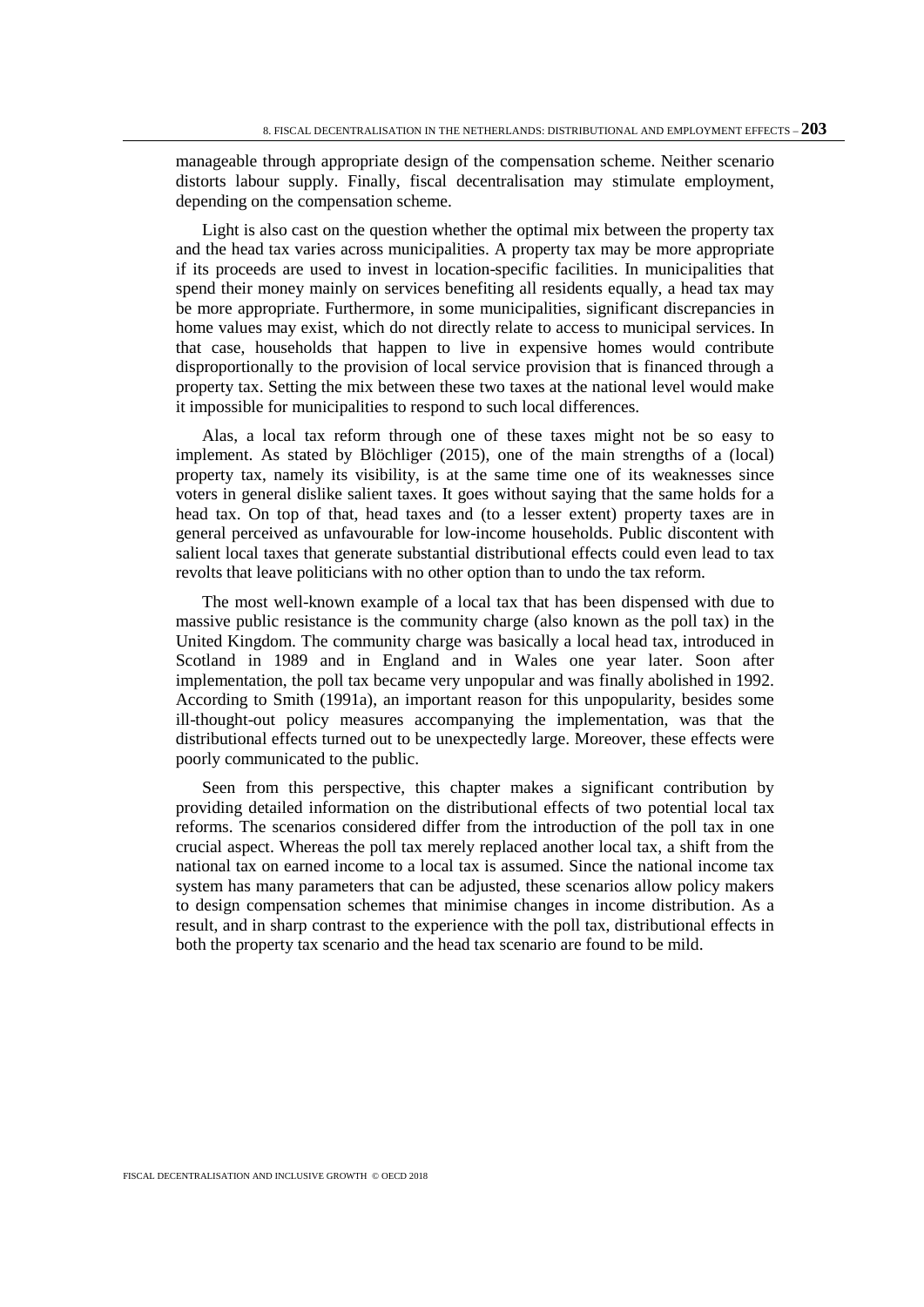manageable through appropriate design of the compensation scheme. Neither scenario distorts labour supply. Finally, fiscal decentralisation may stimulate employment, depending on the compensation scheme.

Light is also cast on the question whether the optimal mix between the property tax and the head tax varies across municipalities. A property tax may be more appropriate if its proceeds are used to invest in location-specific facilities. In municipalities that spend their money mainly on services benefiting all residents equally, a head tax may be more appropriate. Furthermore, in some municipalities, significant discrepancies in home values may exist, which do not directly relate to access to municipal services. In that case, households that happen to live in expensive homes would contribute disproportionally to the provision of local service provision that is financed through a property tax. Setting the mix between these two taxes at the national level would make it impossible for municipalities to respond to such local differences.

Alas, a local tax reform through one of these taxes might not be so easy to implement. As stated by Blöchliger (2015), one of the main strengths of a (local) property tax, namely its visibility, is at the same time one of its weaknesses since voters in general dislike salient taxes. It goes without saying that the same holds for a head tax. On top of that, head taxes and (to a lesser extent) property taxes are in general perceived as unfavourable for low-income households. Public discontent with salient local taxes that generate substantial distributional effects could even lead to tax revolts that leave politicians with no other option than to undo the tax reform.

The most well-known example of a local tax that has been dispensed with due to massive public resistance is the community charge (also known as the poll tax) in the United Kingdom. The community charge was basically a local head tax, introduced in Scotland in 1989 and in England and in Wales one year later. Soon after implementation, the poll tax became very unpopular and was finally abolished in 1992. According to Smith (1991a), an important reason for this unpopularity, besides some ill-thought-out policy measures accompanying the implementation, was that the distributional effects turned out to be unexpectedly large. Moreover, these effects were poorly communicated to the public.

Seen from this perspective, this chapter makes a significant contribution by providing detailed information on the distributional effects of two potential local tax reforms. The scenarios considered differ from the introduction of the poll tax in one crucial aspect. Whereas the poll tax merely replaced another local tax, a shift from the national tax on earned income to a local tax is assumed. Since the national income tax system has many parameters that can be adjusted, these scenarios allow policy makers to design compensation schemes that minimise changes in income distribution. As a result, and in sharp contrast to the experience with the poll tax, distributional effects in both the property tax scenario and the head tax scenario are found to be mild.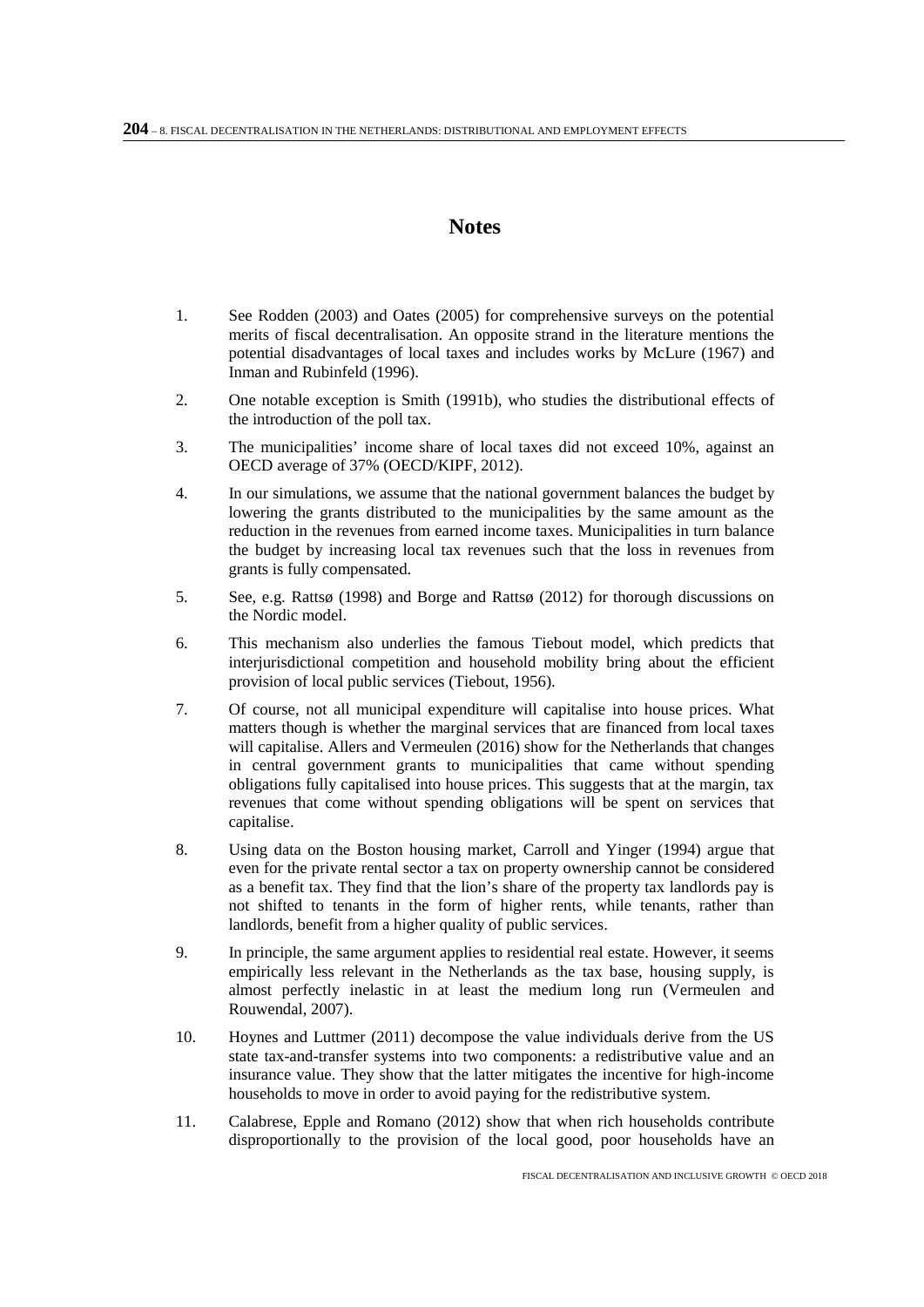### **Notes**

- 1. See Rodden (2003) and Oates (2005) for comprehensive surveys on the potential merits of fiscal decentralisation. An opposite strand in the literature mentions the potential disadvantages of local taxes and includes works by McLure (1967) and Inman and Rubinfeld (1996).
- 2. One notable exception is Smith (1991b), who studies the distributional effects of the introduction of the poll tax.
- 3. The municipalities' income share of local taxes did not exceed 10%, against an OECD average of 37% (OECD/KIPF, 2012).
- 4. In our simulations, we assume that the national government balances the budget by lowering the grants distributed to the municipalities by the same amount as the reduction in the revenues from earned income taxes. Municipalities in turn balance the budget by increasing local tax revenues such that the loss in revenues from grants is fully compensated.
- 5. See, e.g. Rattsø (1998) and Borge and Rattsø (2012) for thorough discussions on the Nordic model.
- 6. This mechanism also underlies the famous Tiebout model, which predicts that interjurisdictional competition and household mobility bring about the efficient provision of local public services (Tiebout, 1956).
- 7. Of course, not all municipal expenditure will capitalise into house prices. What matters though is whether the marginal services that are financed from local taxes will capitalise. Allers and Vermeulen (2016) show for the Netherlands that changes in central government grants to municipalities that came without spending obligations fully capitalised into house prices. This suggests that at the margin, tax revenues that come without spending obligations will be spent on services that capitalise.
- 8. Using data on the Boston housing market, Carroll and Yinger (1994) argue that even for the private rental sector a tax on property ownership cannot be considered as a benefit tax. They find that the lion's share of the property tax landlords pay is not shifted to tenants in the form of higher rents, while tenants, rather than landlords, benefit from a higher quality of public services.
- 9. In principle, the same argument applies to residential real estate. However, it seems empirically less relevant in the Netherlands as the tax base, housing supply, is almost perfectly inelastic in at least the medium long run (Vermeulen and Rouwendal, 2007).
- 10. Hoynes and Luttmer (2011) decompose the value individuals derive from the US state tax-and-transfer systems into two components: a redistributive value and an insurance value. They show that the latter mitigates the incentive for high-income households to move in order to avoid paying for the redistributive system.
- 11. Calabrese, Epple and Romano (2012) show that when rich households contribute disproportionally to the provision of the local good, poor households have an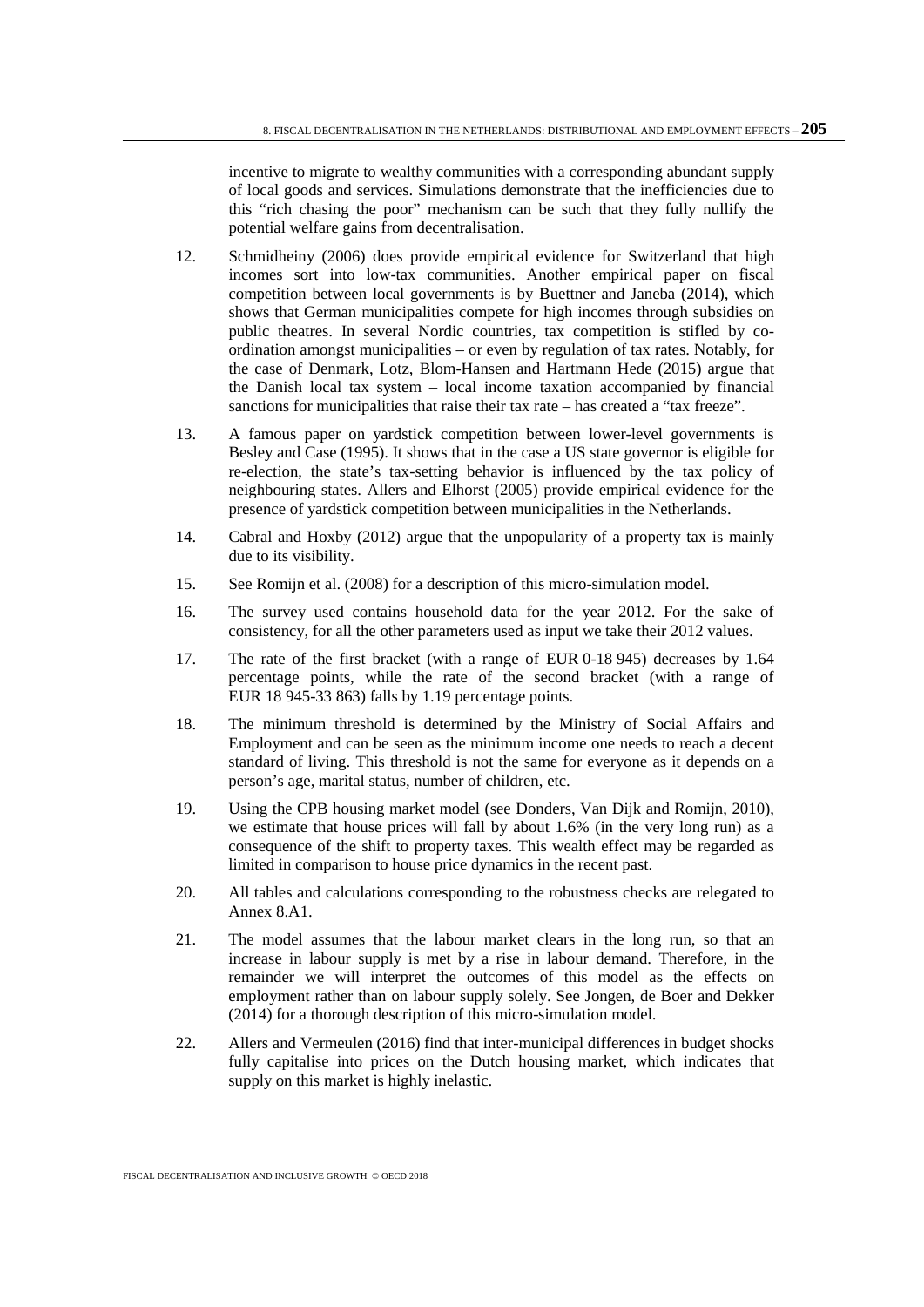incentive to migrate to wealthy communities with a corresponding abundant supply of local goods and services. Simulations demonstrate that the inefficiencies due to this "rich chasing the poor" mechanism can be such that they fully nullify the potential welfare gains from decentralisation.

- 12. Schmidheiny (2006) does provide empirical evidence for Switzerland that high incomes sort into low-tax communities. Another empirical paper on fiscal competition between local governments is by Buettner and Janeba (2014), which shows that German municipalities compete for high incomes through subsidies on public theatres. In several Nordic countries, tax competition is stifled by coordination amongst municipalities – or even by regulation of tax rates. Notably, for the case of Denmark, Lotz, Blom-Hansen and Hartmann Hede (2015) argue that the Danish local tax system – local income taxation accompanied by financial sanctions for municipalities that raise their tax rate – has created a "tax freeze".
- 13. A famous paper on yardstick competition between lower-level governments is Besley and Case (1995). It shows that in the case a US state governor is eligible for re-election, the state's tax-setting behavior is influenced by the tax policy of neighbouring states. Allers and Elhorst (2005) provide empirical evidence for the presence of yardstick competition between municipalities in the Netherlands.
- 14. Cabral and Hoxby (2012) argue that the unpopularity of a property tax is mainly due to its visibility.
- 15. See Romijn et al. (2008) for a description of this micro-simulation model.
- 16. The survey used contains household data for the year 2012. For the sake of consistency, for all the other parameters used as input we take their 2012 values.
- 17. The rate of the first bracket (with a range of EUR 0-18 945) decreases by 1.64 percentage points, while the rate of the second bracket (with a range of EUR 18 945-33 863) falls by 1.19 percentage points.
- 18. The minimum threshold is determined by the Ministry of Social Affairs and Employment and can be seen as the minimum income one needs to reach a decent standard of living. This threshold is not the same for everyone as it depends on a person's age, marital status, number of children, etc.
- 19. Using the CPB housing market model (see Donders, Van Dijk and Romijn, 2010), we estimate that house prices will fall by about 1.6% (in the very long run) as a consequence of the shift to property taxes. This wealth effect may be regarded as limited in comparison to house price dynamics in the recent past.
- 20. All tables and calculations corresponding to the robustness checks are relegated to Annex 8.A1.
- 21. The model assumes that the labour market clears in the long run, so that an increase in labour supply is met by a rise in labour demand. Therefore, in the remainder we will interpret the outcomes of this model as the effects on employment rather than on labour supply solely. See Jongen, de Boer and Dekker (2014) for a thorough description of this micro-simulation model.
- 22. Allers and Vermeulen (2016) find that inter-municipal differences in budget shocks fully capitalise into prices on the Dutch housing market, which indicates that supply on this market is highly inelastic.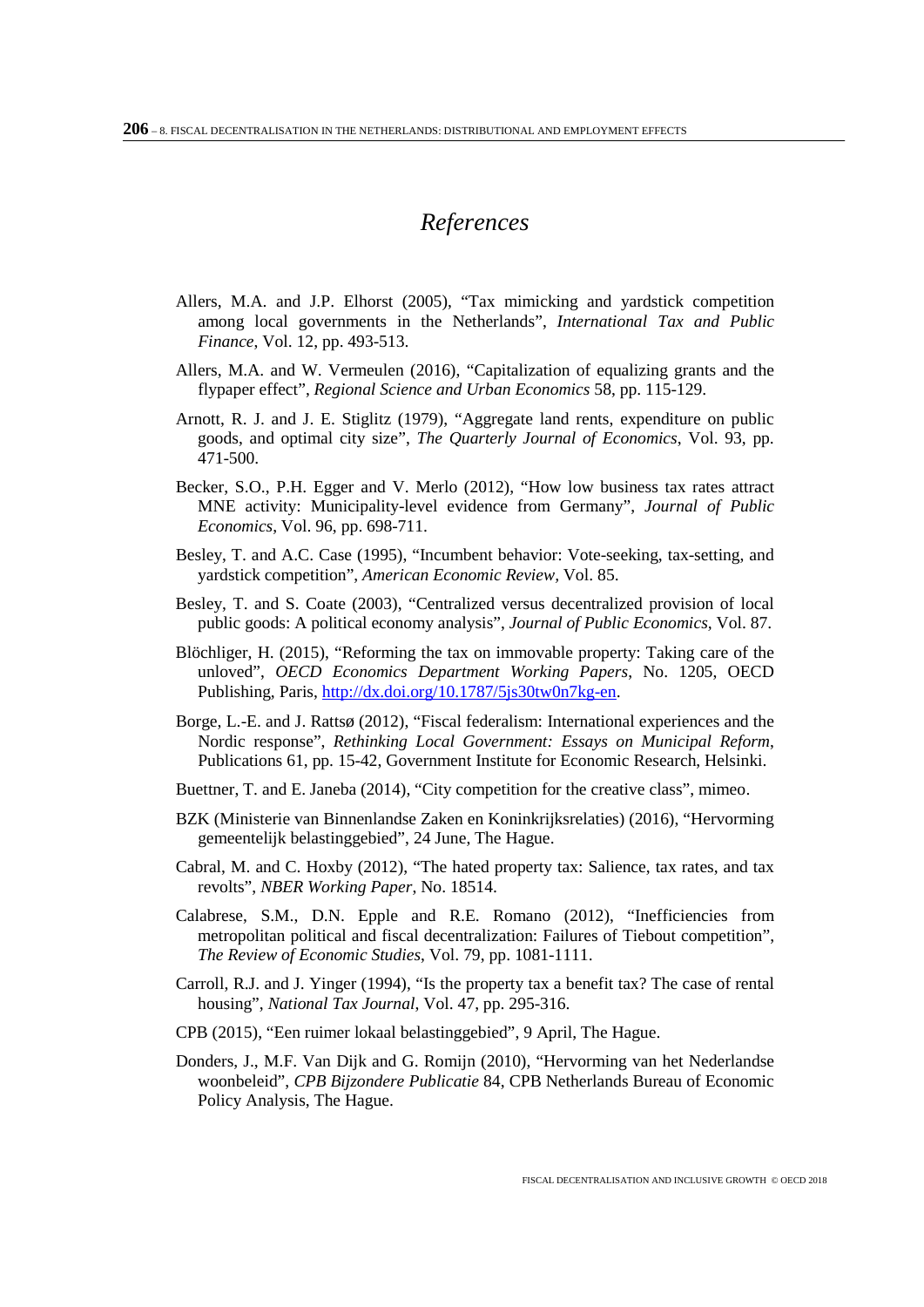# *References*

- Allers, M.A. and J.P. Elhorst (2005), "Tax mimicking and yardstick competition among local governments in the Netherlands", *International Tax and Public Finance*, Vol. 12, pp. 493-513.
- Allers, M.A. and W. Vermeulen (2016), "Capitalization of equalizing grants and the flypaper effect", *Regional Science and Urban Economics* 58, pp. 115-129.
- Arnott, R. J. and J. E. Stiglitz (1979), "Aggregate land rents, expenditure on public goods, and optimal city size", *The Quarterly Journal of Economics*, Vol. 93, pp. 471-500.
- Becker, S.O., P.H. Egger and V. Merlo (2012), "How low business tax rates attract MNE activity: Municipality-level evidence from Germany", *Journal of Public Economics*, Vol. 96, pp. 698-711.
- Besley, T. and A.C. Case (1995), "Incumbent behavior: Vote-seeking, tax-setting, and yardstick competition", *American Economic Review,* Vol. 85.
- Besley, T. and S. Coate (2003), "Centralized versus decentralized provision of local public goods: A political economy analysis", *Journal of Public Economics,* Vol. 87.
- Blöchliger, H. (2015), "Reforming the tax on immovable property: Taking care of the unloved", *OECD Economics Department Working Papers*, No. 1205, OECD Publishing, Paris, [http://dx.doi.org/10.1787/5js30tw0n7kg-en.](http://dx.doi.org/10.1787/5js30tw0n7kg-en)
- Borge, L.-E. and J. Rattsø (2012), "Fiscal federalism: International experiences and the Nordic response", *Rethinking Local Government: Essays on Municipal Reform*, Publications 61, pp. 15-42, Government Institute for Economic Research, Helsinki.
- Buettner, T. and E. Janeba (2014), "City competition for the creative class", mimeo.
- BZK (Ministerie van Binnenlandse Zaken en Koninkrijksrelaties) (2016), "Hervorming gemeentelijk belastinggebied", 24 June, The Hague.
- Cabral, M. and C. Hoxby (2012), "The hated property tax: Salience, tax rates, and tax revolts", *NBER Working Paper*, No. 18514.
- Calabrese, S.M., D.N. Epple and R.E. Romano (2012), "Inefficiencies from metropolitan political and fiscal decentralization: Failures of Tiebout competition", *The Review of Economic Studies*, Vol. 79, pp. 1081-1111.
- Carroll, R.J. and J. Yinger (1994), "Is the property tax a benefit tax? The case of rental housing", *National Tax Journal*, Vol. 47, pp. 295-316.
- CPB (2015), "Een ruimer lokaal belastinggebied", 9 April, The Hague.
- Donders, J., M.F. Van Dijk and G. Romijn (2010), "Hervorming van het Nederlandse woonbeleid", *CPB Bijzondere Publicatie* 84, CPB Netherlands Bureau of Economic Policy Analysis, The Hague.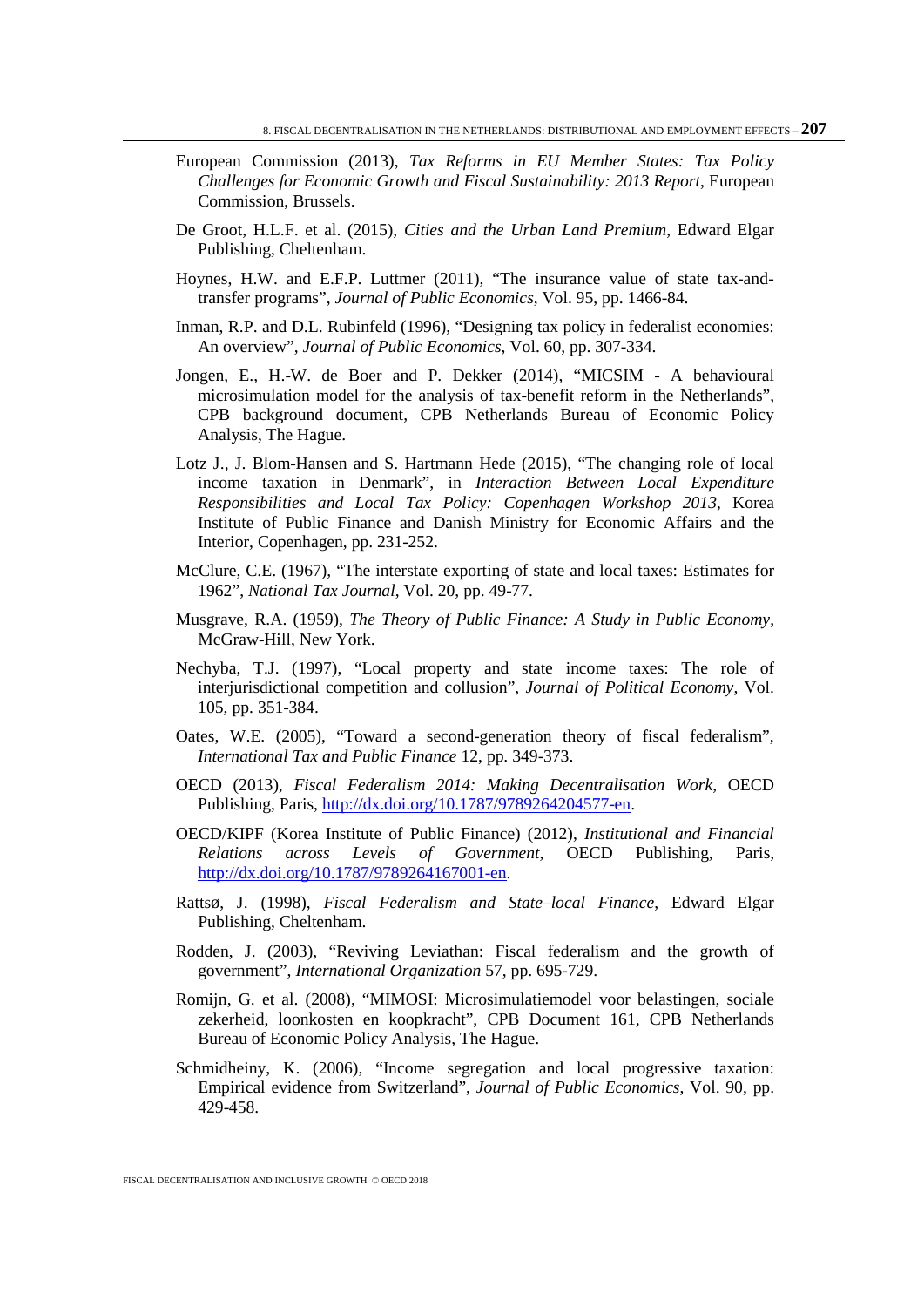- European Commission (2013), *Tax Reforms in EU Member States: Tax Policy Challenges for Economic Growth and Fiscal Sustainability: 2013 Report*, European Commission, Brussels.
- De Groot, H.L.F. et al. (2015), *Cities and the Urban Land Premium*, Edward Elgar Publishing, Cheltenham.
- Hoynes, H.W. and E.F.P. Luttmer (2011), "The insurance value of state tax-andtransfer programs", *Journal of Public Economics*, Vol. 95, pp. 1466-84.
- Inman, R.P. and D.L. Rubinfeld (1996), "Designing tax policy in federalist economies: An overview", *Journal of Public Economics*, Vol. 60, pp. 307-334.
- Jongen, E., H.-W. de Boer and P. Dekker (2014), "MICSIM A behavioural microsimulation model for the analysis of tax-benefit reform in the Netherlands", CPB background document, CPB Netherlands Bureau of Economic Policy Analysis, The Hague.
- Lotz J., J. Blom-Hansen and S. Hartmann Hede (2015), "The changing role of local income taxation in Denmark", in *Interaction Between Local Expenditure Responsibilities and Local Tax Policy: Copenhagen Workshop 2013*, Korea Institute of Public Finance and Danish Ministry for Economic Affairs and the Interior, Copenhagen, pp. 231-252.
- McClure, C.E. (1967), "The interstate exporting of state and local taxes: Estimates for 1962", *National Tax Journal*, Vol. 20, pp. 49-77.
- Musgrave, R.A. (1959), *The Theory of Public Finance: A Study in Public Economy*, McGraw-Hill, New York.
- Nechyba, T.J. (1997), "Local property and state income taxes: The role of interjurisdictional competition and collusion", *Journal of Political Economy*, Vol. 105, pp. 351-384.
- Oates, W.E. (2005), "Toward a second-generation theory of fiscal federalism", *International Tax and Public Finance* 12, pp. 349-373.
- OECD (2013), *Fiscal Federalism 2014: Making Decentralisation Work*, OECD Publishing, Paris, [http://dx.doi.org/10.1787/9789264204577-en.](http://dx.doi.org/10.1787/9789264204577-en)
- OECD/KIPF (Korea Institute of Public Finance) (2012), *Institutional and Financial Relations across Levels of Government*, OECD Publishing, Paris, [http://dx.doi.org/10.1787/9789264167001-en.](http://dx.doi.org/10.1787/9789264167001-en)
- Rattsø, J. (1998), *Fiscal Federalism and State–local Finance*, Edward Elgar Publishing, Cheltenham.
- Rodden, J. (2003), "Reviving Leviathan: Fiscal federalism and the growth of government", *International Organization* 57, pp. 695-729.
- Romijn, G. et al. (2008), "MIMOSI: Microsimulatiemodel voor belastingen, sociale zekerheid, loonkosten en koopkracht", CPB Document 161, CPB Netherlands Bureau of Economic Policy Analysis, The Hague.
- Schmidheiny, K. (2006), "Income segregation and local progressive taxation: Empirical evidence from Switzerland", *Journal of Public Economics*, Vol. 90, pp. 429-458.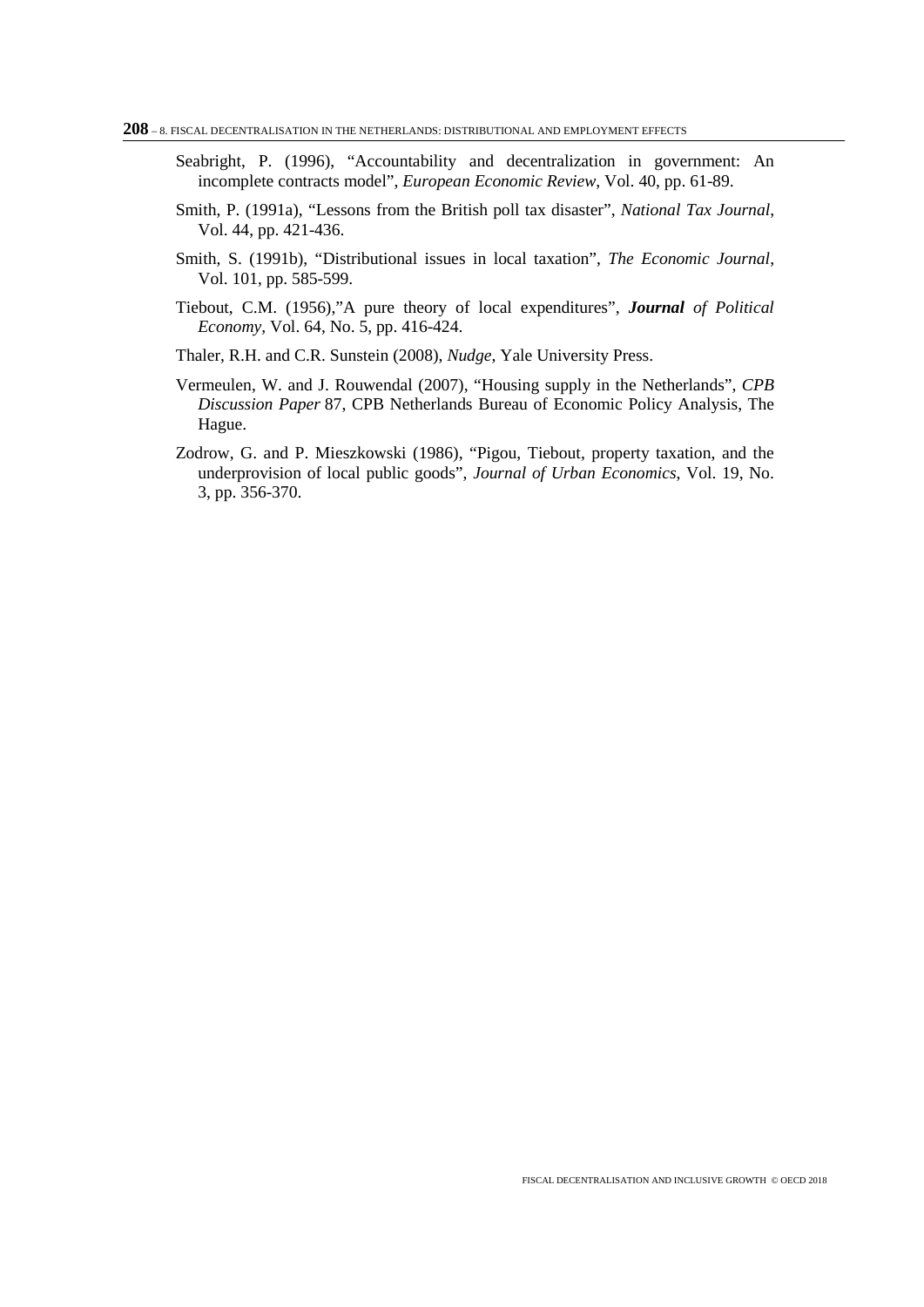- Seabright, P. (1996), "Accountability and decentralization in government: An incomplete contracts model", *European Economic Review*, Vol. 40, pp. 61-89.
- Smith, P. (1991a), "Lessons from the British poll tax disaster", *National Tax Journal*, Vol. 44, pp. 421-436.
- Smith, S. (1991b), "Distributional issues in local taxation", *The Economic Journal*, Vol. 101, pp. 585-599.
- Tiebout, C.M. (1956),"A pure theory of local expenditures", *Journal of Political Economy,* Vol. 64, No. 5, pp. 416-424.
- Thaler, R.H. and C.R. Sunstein (2008), *Nudge*, Yale University Press.
- Vermeulen, W. and J. Rouwendal (2007), "Housing supply in the Netherlands", *CPB Discussion Paper* 87, CPB Netherlands Bureau of Economic Policy Analysis, The Hague.
- Zodrow, G. and P. Mieszkowski (1986), "Pigou, Tiebout, property taxation, and the underprovision of local public goods", *Journal of Urban Economics*, Vol. 19, No. 3, pp. 356-370.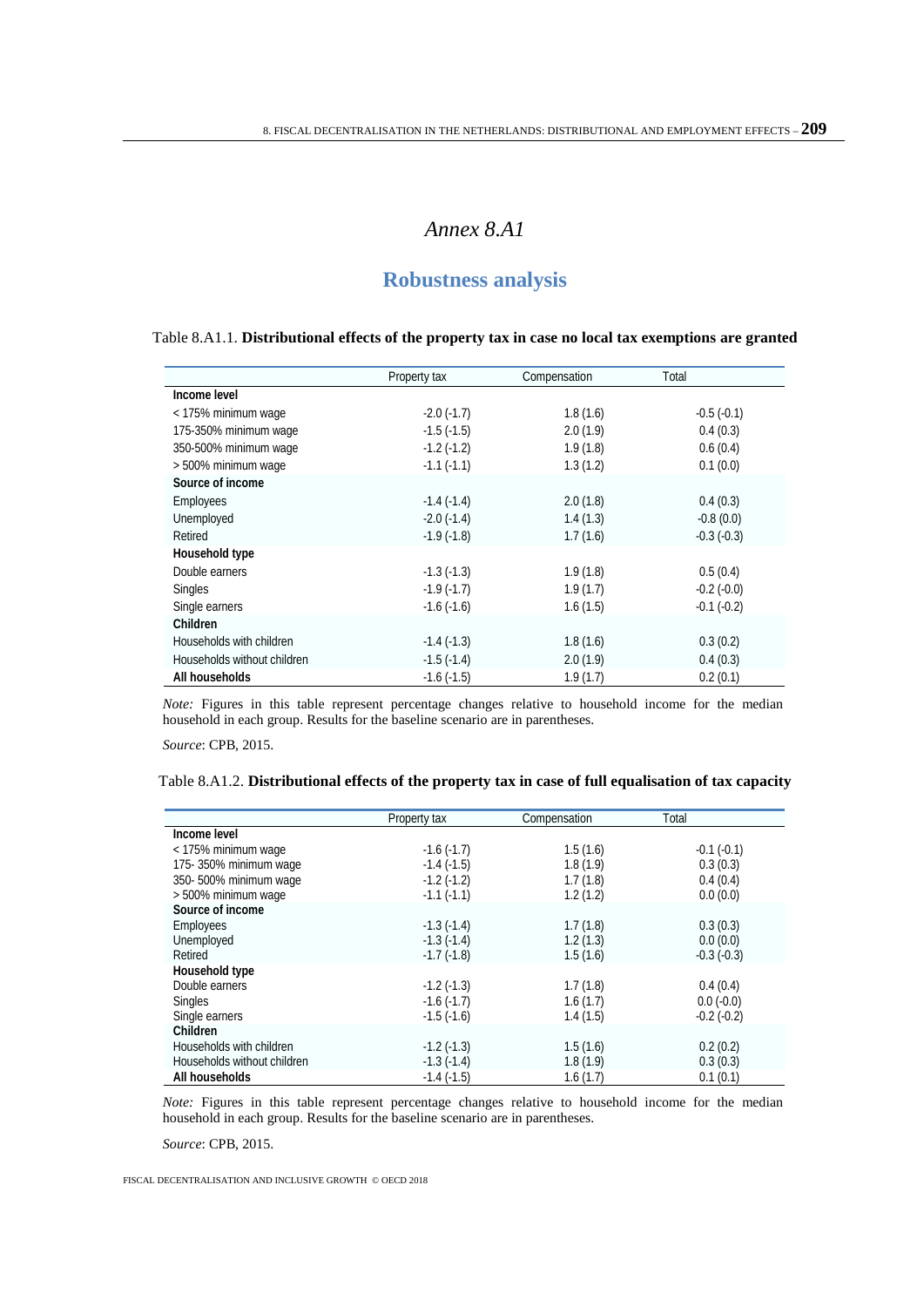# *Annex 8.A1*

## **Robustness analysis**

| Table 8.A1.1. Distributional effects of the property tax in case no local tax exemptions are granted |  |  |  |
|------------------------------------------------------------------------------------------------------|--|--|--|
|------------------------------------------------------------------------------------------------------|--|--|--|

|                             | Property tax    | Compensation | Total           |
|-----------------------------|-----------------|--------------|-----------------|
| Income level                |                 |              |                 |
| < 175% minimum wage         | $-2.0$ $(-1.7)$ | 1.8(1.6)     | $-0.5(-0.1)$    |
| 175-350% minimum wage       | $-1.5(-1.5)$    | 2.0(1.9)     | 0.4(0.3)        |
| 350-500% minimum wage       | $-1.2(-1.2)$    | 1.9(1.8)     | 0.6(0.4)        |
| > 500% minimum wage         | $-1.1(-1.1)$    | 1.3(1.2)     | 0.1(0.0)        |
| Source of income            |                 |              |                 |
| Employees                   | $-1.4(-1.4)$    | 2.0(1.8)     | 0.4(0.3)        |
| Unemployed                  | $-2.0$ $(-1.4)$ | 1.4(1.3)     | $-0.8(0.0)$     |
| Retired                     | $-1.9(-1.8)$    | 1.7(1.6)     | $-0.3(-0.3)$    |
| Household type              |                 |              |                 |
| Double earners              | $-1.3(-1.3)$    | 1.9(1.8)     | 0.5(0.4)        |
| <b>Singles</b>              | $-1.9(-1.7)$    | 1.9(1.7)     | $-0.2$ $(-0.0)$ |
| Single earners              | $-1.6(-1.6)$    | 1.6(1.5)     | $-0.1(-0.2)$    |
| Children                    |                 |              |                 |
| Households with children    | $-1.4(-1.3)$    | 1.8(1.6)     | 0.3(0.2)        |
| Households without children | $-1.5(-1.4)$    | 2.0(1.9)     | 0.4(0.3)        |
| All households              | $-1.6(-1.5)$    | 1.9(1.7)     | 0.2(0.1)        |

*Note:* Figures in this table represent percentage changes relative to household income for the median household in each group. Results for the baseline scenario are in parentheses.

*Source*: CPB, 2015.

| Table 8.A1.2. Distributional effects of the property tax in case of full equalisation of tax capacity |  |  |  |
|-------------------------------------------------------------------------------------------------------|--|--|--|
|-------------------------------------------------------------------------------------------------------|--|--|--|

|                             | Property tax      | Compensation | Total             |
|-----------------------------|-------------------|--------------|-------------------|
| Income level                |                   |              |                   |
| < 175% minimum wage         | $-1.6(-1.7)$      | 1.5(1.6)     | $-0.1(-0.1)$      |
| 175-350% minimum wage       | $-1.4$ ( $-1.5$ ) | 1.8(1.9)     | 0.3(0.3)          |
| 350-500% minimum wage       | $-1.2(-1.2)$      | 1.7(1.8)     | 0.4(0.4)          |
| > 500% minimum wage         | $-1.1(-1.1)$      | 1.2(1.2)     | 0.0(0.0)          |
| Source of income            |                   |              |                   |
| Employees                   | $-1.3(-1.4)$      | 1.7(1.8)     | 0.3(0.3)          |
| Unemployed                  | $-1.3$ ( $-1.4$ ) | 1.2(1.3)     | 0.0(0.0)          |
| Retired                     | $-1.7(-1.8)$      | 1.5(1.6)     | $-0.3(-0.3)$      |
| Household type              |                   |              |                   |
| Double earners              | $-1.2$ ( $-1.3$ ) | 1.7(1.8)     | 0.4(0.4)          |
| <b>Singles</b>              | $-1.6(-1.7)$      | 1.6(1.7)     | $0.0(-0.0)$       |
| Single earners              | $-1.5(-1.6)$      | 1.4(1.5)     | $-0.2$ ( $-0.2$ ) |
| Children                    |                   |              |                   |
| Households with children    | $-1.2(-1.3)$      | 1.5(1.6)     | 0.2(0.2)          |
| Households without children | $-1.3(-1.4)$      | 1.8(1.9)     | 0.3(0.3)          |
| All households              | $-1.4$ ( $-1.5$ ) | 1.6(1.7)     | 0.1(0.1)          |

*Note:* Figures in this table represent percentage changes relative to household income for the median household in each group. Results for the baseline scenario are in parentheses.

*Source*: CPB, 2015.

FISCAL DECENTRALISATION AND INCLUSIVE GROWTH © OECD 2018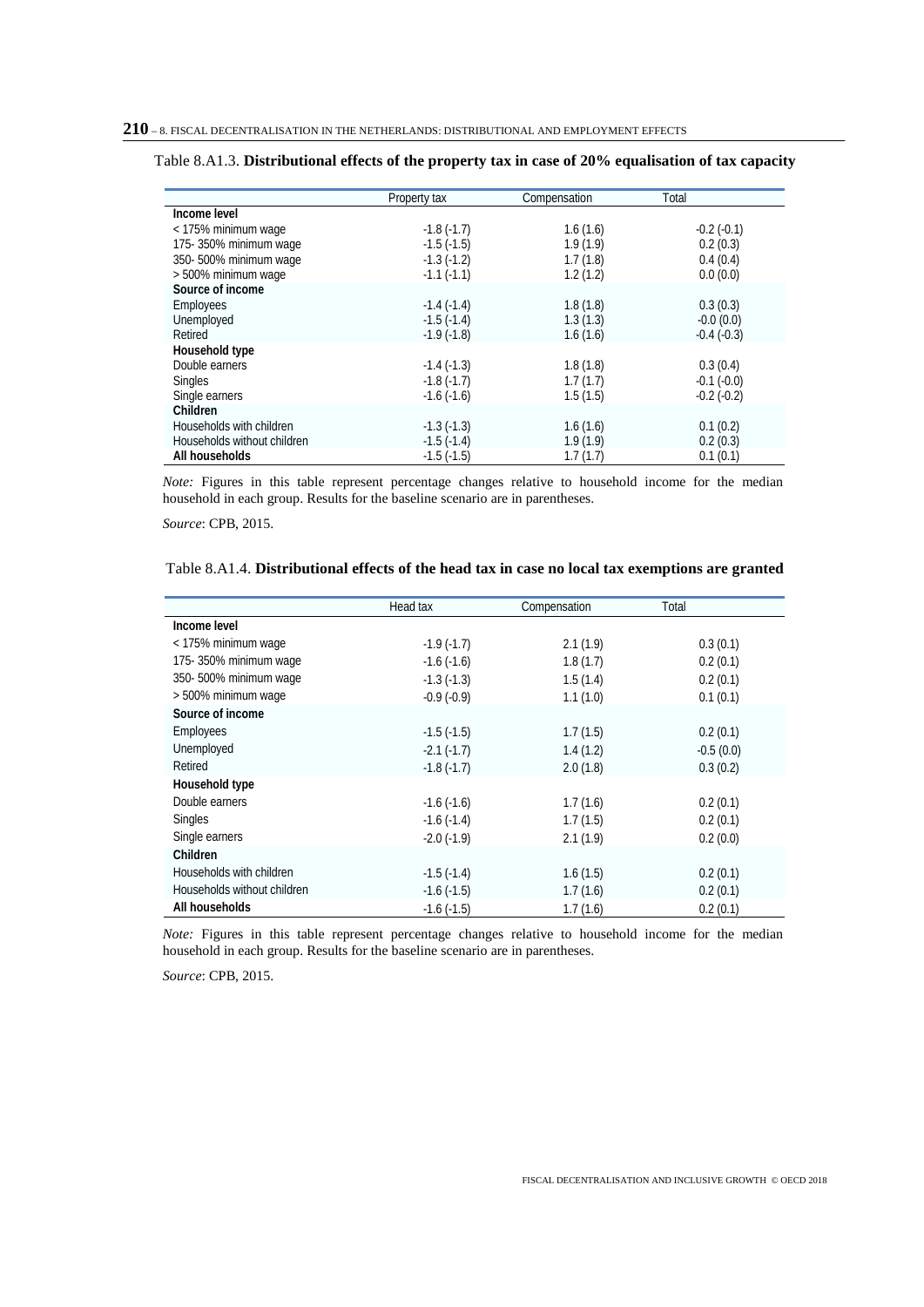|                             | Property tax | Compensation | Total           |
|-----------------------------|--------------|--------------|-----------------|
| Income level                |              |              |                 |
| < 175% minimum wage         | $-1.8(-1.7)$ | 1.6(1.6)     | $-0.2(-0.1)$    |
| 175-350% minimum wage       | $-1.5(-1.5)$ | 1.9(1.9)     | 0.2(0.3)        |
| 350-500% minimum wage       | $-1.3(-1.2)$ | 1.7(1.8)     | 0.4(0.4)        |
| > 500% minimum wage         | $-1.1(-1.1)$ | 1.2(1.2)     | 0.0(0.0)        |
| Source of income            |              |              |                 |
| Employees                   | $-1.4(-1.4)$ | 1.8(1.8)     | 0.3(0.3)        |
| Unemployed                  | $-1.5(-1.4)$ | 1.3(1.3)     | $-0.0(0.0)$     |
| Retired                     | $-1.9(-1.8)$ | 1.6(1.6)     | $-0.4(-0.3)$    |
| Household type              |              |              |                 |
| Double earners              | $-1.4(-1.3)$ | 1.8(1.8)     | 0.3(0.4)        |
| <b>Singles</b>              | $-1.8(-1.7)$ | 1.7(1.7)     | $-0.1(-0.0)$    |
| Single earners              | $-1.6(-1.6)$ | 1.5(1.5)     | $-0.2$ $(-0.2)$ |
| Children                    |              |              |                 |
| Households with children    | $-1.3(-1.3)$ | 1.6(1.6)     | 0.1(0.2)        |
| Households without children | $-1.5(-1.4)$ | 1.9(1.9)     | 0.2(0.3)        |
| All households              | $-1.5(-1.5)$ | 1.7(1.7)     | 0.1(0.1)        |

| Table 8.A1.3. Distributional effects of the property tax in case of 20% equalisation of tax capacity |  |  |
|------------------------------------------------------------------------------------------------------|--|--|
|------------------------------------------------------------------------------------------------------|--|--|

*Note:* Figures in this table represent percentage changes relative to household income for the median household in each group. Results for the baseline scenario are in parentheses.

*Source*: CPB, 2015.

| Table 8.A1.4. Distributional effects of the head tax in case no local tax exemptions are granted |  |  |  |  |  |  |  |  |  |
|--------------------------------------------------------------------------------------------------|--|--|--|--|--|--|--|--|--|
|--------------------------------------------------------------------------------------------------|--|--|--|--|--|--|--|--|--|

|                             | Head tax          | Compensation | Total       |
|-----------------------------|-------------------|--------------|-------------|
| Income level                |                   |              |             |
| < 175% minimum wage         | $-1.9(-1.7)$      | 2.1(1.9)     | 0.3(0.1)    |
| 175-350% minimum wage       | $-1.6(-1.6)$      | 1.8(1.7)     | 0.2(0.1)    |
| 350-500% minimum wage       | $-1.3(-1.3)$      | 1.5(1.4)     | 0.2(0.1)    |
| > 500% minimum wage         | $-0.9(-0.9)$      | 1.1(1.0)     | 0.1(0.1)    |
| Source of income            |                   |              |             |
| Employees                   | $-1.5(-1.5)$      | 1.7(1.5)     | 0.2(0.1)    |
| Unemployed                  | $-2.1(-1.7)$      | 1.4(1.2)     | $-0.5(0.0)$ |
| Retired                     | $-1.8(-1.7)$      | 2.0(1.8)     | 0.3(0.2)    |
| Household type              |                   |              |             |
| Double earners              | $-1.6(-1.6)$      | 1.7(1.6)     | 0.2(0.1)    |
| <b>Singles</b>              | $-1.6(-1.4)$      | 1.7(1.5)     | 0.2(0.1)    |
| Single earners              | $-2.0$ $(-1.9)$   | 2.1(1.9)     | 0.2(0.0)    |
| Children                    |                   |              |             |
| Households with children    | $-1.5$ ( $-1.4$ ) | 1.6(1.5)     | 0.2(0.1)    |
| Households without children | $-1.6(-1.5)$      | 1.7(1.6)     | 0.2(0.1)    |
| All households              | $-1.6(-1.5)$      | 1.7(1.6)     | 0.2(0.1)    |

*Note:* Figures in this table represent percentage changes relative to household income for the median household in each group. Results for the baseline scenario are in parentheses.

*Source*: CPB, 2015.